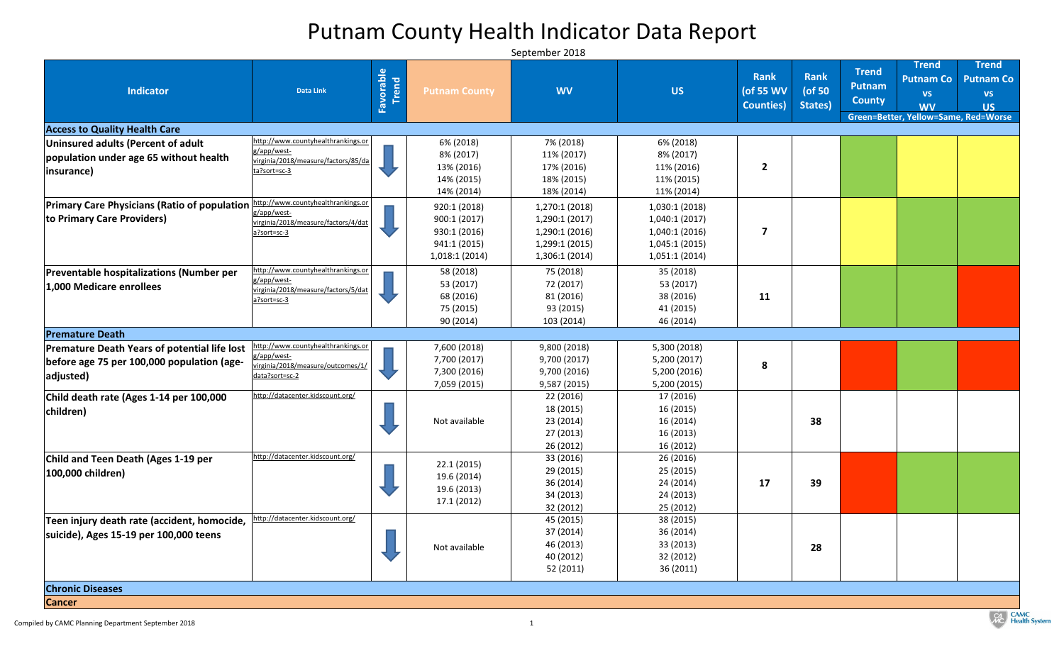| <b>Indicator</b>                                                                                                 | <b>Data Link</b>                                                                                         | Favorable<br>Trend | <b>Putnam County</b>                                                         | <b>WV</b>                                                                              | <b>US</b>                                                                         | <b>Rank</b><br>(of 55 WV<br><b>Counties</b> ) | <b>Rank</b><br>(of 50<br>States) | <b>Trend</b><br><b>Putnam</b><br><b>County</b> | <b>Trend</b><br><b>Putnam Co</b><br><b>VS</b><br><b>WV</b><br>Green=Better, Yellow=Same, Red=Worse | <b>Trend</b><br><b>Putnam Co</b><br><b>VS</b><br><b>US</b> |
|------------------------------------------------------------------------------------------------------------------|----------------------------------------------------------------------------------------------------------|--------------------|------------------------------------------------------------------------------|----------------------------------------------------------------------------------------|-----------------------------------------------------------------------------------|-----------------------------------------------|----------------------------------|------------------------------------------------|----------------------------------------------------------------------------------------------------|------------------------------------------------------------|
| <b>Access to Quality Health Care</b>                                                                             |                                                                                                          |                    |                                                                              |                                                                                        |                                                                                   |                                               |                                  |                                                |                                                                                                    |                                                            |
| Uninsured adults (Percent of adult<br>population under age 65 without health<br>(insurance)                      | http://www.countyhealthrankings.or<br>g/app/west-<br>virginia/2018/measure/factors/85/da<br>ta?sort=sc-3 |                    | 6% (2018)<br>8% (2017)<br>13% (2016)<br>14% (2015)<br>14% (2014)             | 7% (2018)<br>11% (2017)<br>17% (2016)<br>18% (2015)<br>18% (2014)                      | 6% (2018)<br>8% (2017)<br>11% (2016)<br>11% (2015)<br>11% (2014)                  | $\overline{2}$                                |                                  |                                                |                                                                                                    |                                                            |
| <b>Primary Care Physicians (Ratio of population</b><br><b>to Primary Care Providers)</b>                         | http://www.countyhealthrankings.or<br>g/app/west-<br>virginia/2018/measure/factors/4/dat<br>a?sort=sc-3  |                    | 920:1 (2018)<br>900:1(2017)<br>930:1 (2016)<br>941:1 (2015)<br>1,018:1(2014) | 1,270:1 (2018)<br>1,290:1 (2017)<br>1,290:1 (2016)<br>1,299:1 (2015)<br>1,306:1 (2014) | 1,030:1(2018)<br>1,040:1(2017)<br>1,040:1(2016)<br>1,045:1(2015)<br>1,051:1(2014) |                                               |                                  |                                                |                                                                                                    |                                                            |
| <b>Preventable hospitalizations (Number per</b><br>1,000 Medicare enrollees                                      | http://www.countyhealthrankings.or<br>g/app/west-<br>virginia/2018/measure/factors/5/dat<br>a?sort=sc-3  |                    | 58 (2018)<br>53 (2017)<br>68 (2016)<br>75 (2015)<br>90(2014)                 | 75 (2018)<br>72 (2017)<br>81 (2016)<br>93 (2015)<br>103 (2014)                         | 35 (2018)<br>53 (2017)<br>38 (2016)<br>41 (2015)<br>46 (2014)                     | 11                                            |                                  |                                                |                                                                                                    |                                                            |
| <b>Premature Death</b>                                                                                           |                                                                                                          |                    |                                                                              |                                                                                        |                                                                                   |                                               |                                  |                                                |                                                                                                    |                                                            |
| <b>Premature Death Years of potential life lost</b><br>before age 75 per 100,000 population (age-<br>adjusted)   | http://www.countyhealthrankings.or<br>g/app/west-<br>virginia/2018/measure/outcomes/1/<br>data?sort=sc-2 |                    | 7,600 (2018)<br>7,700 (2017)<br>7,300 (2016)<br>7,059 (2015)                 | 9,800 (2018)<br>9,700 (2017)<br>9,700 (2016)<br>9,587 (2015)                           | 5,300 (2018)<br>5,200 (2017)<br>5,200 (2016)<br>5,200(2015)                       | 8                                             |                                  |                                                |                                                                                                    |                                                            |
| Child death rate (Ages 1-14 per 100,000<br>children)                                                             | http://datacenter.kidscount.org/                                                                         |                    | Not available                                                                | 22 (2016)<br>18 (2015)<br>23 (2014)<br>27 (2013)<br>26 (2012)                          | 17 (2016)<br>16 (2015)<br>16 (2014)<br>16 (2013)<br>16 (2012)                     |                                               | 38                               |                                                |                                                                                                    |                                                            |
| Child and Teen Death (Ages 1-19 per<br>100,000 children)                                                         | http://datacenter.kidscount.org/                                                                         |                    | 22.1(2015)<br>19.6 (2014)<br>19.6 (2013)<br>17.1 (2012)                      | 33 (2016)<br>29 (2015)<br>36 (2014)<br>34 (2013)<br>32 (2012)                          | 26 (2016)<br>25 (2015)<br>24 (2014)<br>24 (2013)<br>25 (2012)                     | 17                                            | 39                               |                                                |                                                                                                    |                                                            |
| Teen injury death rate (accident, homocide,<br>suicide), Ages 15-19 per 100,000 teens<br><b>Chronic Diseases</b> | http://datacenter.kidscount.org/                                                                         |                    | Not available                                                                | 45 (2015)<br>37 (2014)<br>46 (2013)<br>40 (2012)<br>52 (2011)                          | 38 (2015)<br>36 (2014)<br>33 (2013)<br>32 (2012)<br>36 (2011)                     |                                               | 28                               |                                                |                                                                                                    |                                                            |
| <b>Cancer</b>                                                                                                    |                                                                                                          |                    |                                                                              |                                                                                        |                                                                                   |                                               |                                  |                                                |                                                                                                    |                                                            |

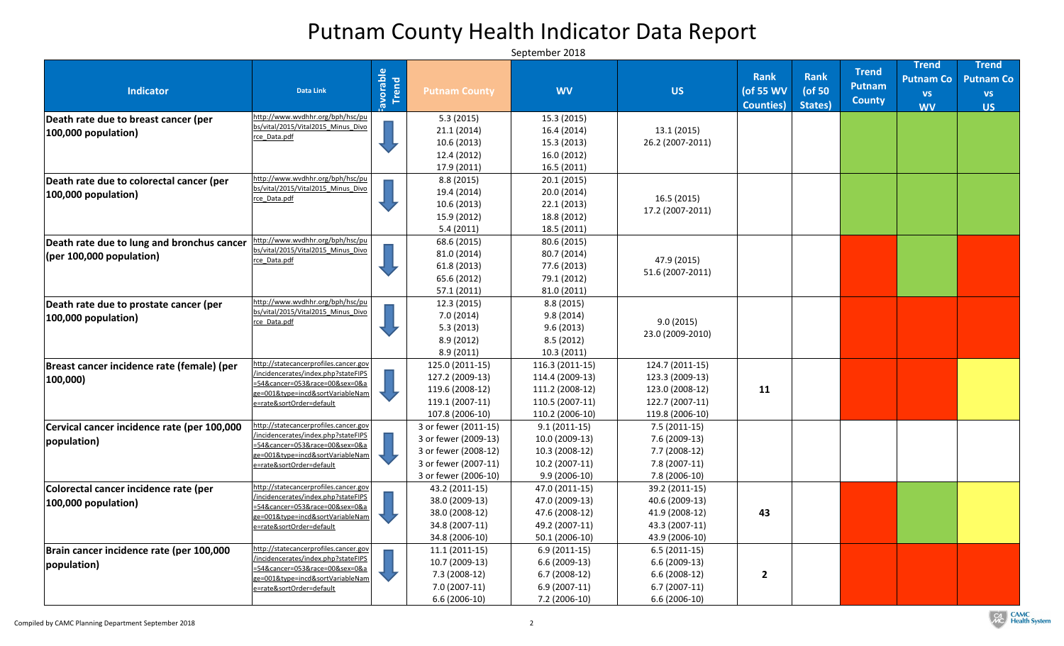| <b>Indicator</b>                                                       | <b>Data Link</b>                                                                                                                                                            | Favorable<br>Trend | <b>Putnam County</b>                                                                                                 | <b>WV</b>                                                                                    | <b>US</b>                                                                                   | <b>Rank</b><br>(of 55 WV<br><b>Counties</b> ) | <b>Rank</b><br>(of 50<br>States) | <b>Trend</b><br><b>Putnam</b><br><b>County</b> | <b>Trend</b><br><b>Putnam Co</b><br><b>VS</b><br><b>WV</b> | <b>Trend</b><br><b>Putnam Co</b><br><b>VS</b><br><b>US</b> |
|------------------------------------------------------------------------|-----------------------------------------------------------------------------------------------------------------------------------------------------------------------------|--------------------|----------------------------------------------------------------------------------------------------------------------|----------------------------------------------------------------------------------------------|---------------------------------------------------------------------------------------------|-----------------------------------------------|----------------------------------|------------------------------------------------|------------------------------------------------------------|------------------------------------------------------------|
| Death rate due to breast cancer (per<br>100,000 population)            | http://www.wvdhhr.org/bph/hsc/pu<br>bs/vital/2015/Vital2015 Minus Divo<br>rce_Data.pdf                                                                                      |                    | 5.3(2015)<br>21.1(2014)<br>10.6(2013)<br>12.4 (2012)                                                                 | 15.3 (2015)<br>16.4 (2014)<br>15.3 (2013)<br>16.0 (2012)                                     | 13.1(2015)<br>26.2 (2007-2011)                                                              |                                               |                                  |                                                |                                                            |                                                            |
| Death rate due to colorectal cancer (per<br>100,000 population)        | http://www.wvdhhr.org/bph/hsc/pu<br>bs/vital/2015/Vital2015 Minus Divo<br>rce Data.pdf                                                                                      |                    | 17.9 (2011)<br>8.8(2015)<br>19.4 (2014)<br>10.6(2013)<br>15.9 (2012)<br>5.4(2011)                                    | 16.5(2011)<br>20.1(2015)<br>20.0(2014)<br>22.1(2013)<br>18.8 (2012)<br>18.5 (2011)           | 16.5(2015)<br>17.2 (2007-2011)                                                              |                                               |                                  |                                                |                                                            |                                                            |
| Death rate due to lung and bronchus cancer<br>(per~100,000~population) | http://www.wvdhhr.org/bph/hsc/pu<br>bs/vital/2015/Vital2015 Minus Divo<br>rce Data.pdf                                                                                      |                    | 68.6 (2015)<br>81.0 (2014)<br>61.8(2013)<br>65.6 (2012)<br>57.1 (2011)                                               | 80.6 (2015)<br>80.7 (2014)<br>77.6 (2013)<br>79.1 (2012)<br>81.0 (2011)                      | 47.9 (2015)<br>51.6 (2007-2011)                                                             |                                               |                                  |                                                |                                                            |                                                            |
| Death rate due to prostate cancer (per<br>100,000 population)          | http://www.wvdhhr.org/bph/hsc/pu<br>bs/vital/2015/Vital2015 Minus Divo<br>rce Data.pdf                                                                                      |                    | 12.3(2015)<br>7.0(2014)<br>5.3(2013)<br>8.9(2012)<br>8.9(2011)                                                       | 8.8 (2015)<br>9.8(2014)<br>9.6(2013)<br>8.5(2012)<br>10.3(2011)                              | 9.0(2015)<br>23.0 (2009-2010)                                                               |                                               |                                  |                                                |                                                            |                                                            |
| Breast cancer incidence rate (female) (per<br>$ 100,000\rangle$        | http://statecancerprofiles.cancer.gov<br>/incidencerates/index.php?stateFIPS<br>=54&cancer=053∽̱=00&sex=0&a<br>ge=001&type=incd&sortVariableNam<br>e=rate&sortOrder=default |                    | 125.0 (2011-15)<br>127.2 (2009-13)<br>119.6 (2008-12)<br>119.1 (2007-11)<br>107.8 (2006-10)                          | $116.3(2011-15)$<br>114.4 (2009-13)<br>111.2 (2008-12)<br>110.5 (2007-11)<br>110.2 (2006-10) | 124.7 (2011-15)<br>123.3 (2009-13)<br>123.0 (2008-12)<br>122.7 (2007-11)<br>119.8 (2006-10) | 11                                            |                                  |                                                |                                                            |                                                            |
| Cervical cancer incidence rate (per 100,000<br>population)             | http://statecancerprofiles.cancer.gov<br>/incidencerates/index.php?stateFIPS<br>=54&cancer=053∽̱=00&sex=0&a<br>ze=001&type=incd&sortVariableNam<br>e=rate&sortOrder=default |                    | 3 or fewer (2011-15)<br>3 or fewer (2009-13)<br>3 or fewer (2008-12)<br>3 or fewer (2007-11)<br>3 or fewer (2006-10) | $9.1(2011-15)$<br>10.0 (2009-13)<br>$10.3(2008-12)$<br>$10.2(2007-11)$<br>$9.9(2006-10)$     | 7.5 (2011-15)<br>7.6 (2009-13)<br>7.7 (2008-12)<br>$7.8(2007-11)$<br>7.8 (2006-10)          |                                               |                                  |                                                |                                                            |                                                            |
| Colorectal cancer incidence rate (per<br>100,000 population)           | http://statecancerprofiles.cancer.gov<br>/incidencerates/index.php?stateFIPS<br>=54&cancer=053∽̱=00&sex=0&a<br>ge=001&type=incd&sortVariableNam<br>e=rate&sortOrder=default |                    | 43.2 (2011-15)<br>38.0 (2009-13)<br>38.0 (2008-12)<br>34.8 (2007-11)<br>34.8 (2006-10)                               | 47.0 (2011-15)<br>47.0 (2009-13)<br>47.6 (2008-12)<br>49.2 (2007-11)<br>$50.1(2006-10)$      | 39.2 (2011-15)<br>40.6 (2009-13)<br>41.9 (2008-12)<br>43.3 (2007-11)<br>43.9 (2006-10)      | 43                                            |                                  |                                                |                                                            |                                                            |
| Brain cancer incidence rate (per 100,000<br>population)                | http://statecancerprofiles.cancer.gov<br>/incidencerates/index.php?stateFIPS<br>=54&cancer=053∽̱=00&sex=0&a<br>ge=001&type=incd&sortVariableNam<br>e=rate&sortOrder=default |                    | $11.1(2011-15)$<br>$10.7(2009-13)$<br>$7.3(2008-12)$<br>$7.0(2007-11)$<br>$6.6(2006-10)$                             | $6.9(2011-15)$<br>$6.6(2009-13)$<br>$6.7(2008-12)$<br>$6.9(2007-11)$<br>7.2 (2006-10)        | $6.5(2011-15)$<br>$6.6(2009-13)$<br>$6.6(2008-12)$<br>$6.7(2007-11)$<br>$6.6(2006-10)$      |                                               |                                  |                                                |                                                            |                                                            |

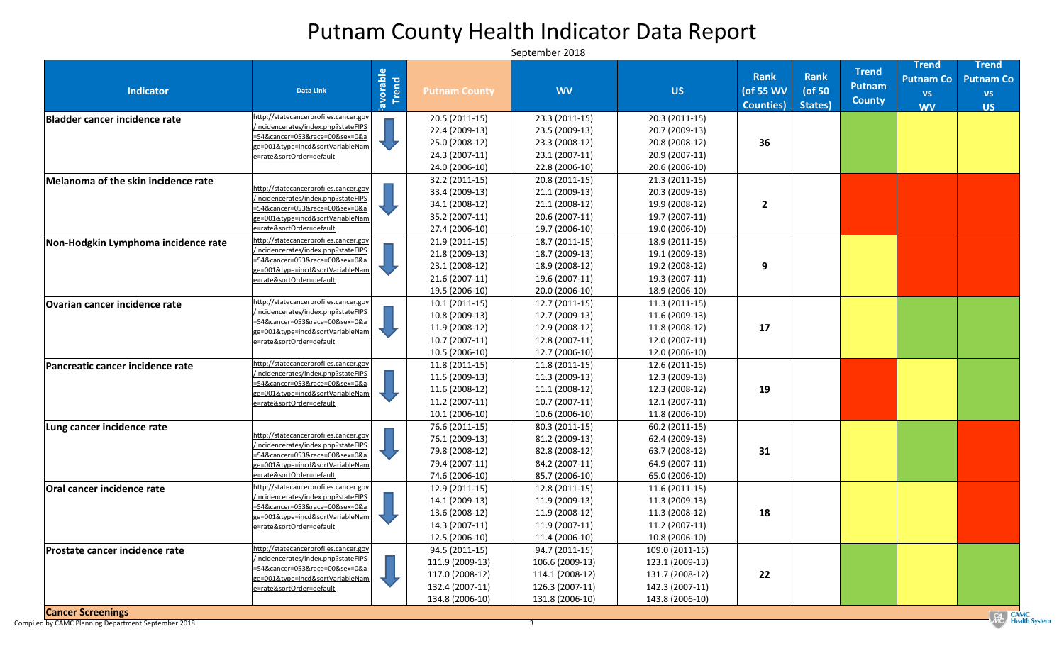## Putnam County Health Indicator Data Report

| <b>Indicator</b>                      | <b>Data Link</b>                                                             | Favorable | <b>Putnam County</b> | <b>WV</b>        | <b>US</b>       | <b>Rank</b><br>(of 55 WV<br><b>Counties</b> ) | <b>Rank</b><br>( $of 50$<br>States) | <b>Trend</b><br><b>Putnam</b><br><b>County</b> | <b>Trend</b><br><b>Putnam Co</b><br><b>VS</b><br><b>WV</b> | <b>Trend</b><br><b>Putnam Co</b><br><b>VS</b><br><b>US</b> |
|---------------------------------------|------------------------------------------------------------------------------|-----------|----------------------|------------------|-----------------|-----------------------------------------------|-------------------------------------|------------------------------------------------|------------------------------------------------------------|------------------------------------------------------------|
| <b>Bladder cancer incidence rate</b>  | http://statecancerprofiles.cancer.gov<br>/incidencerates/index.php?stateFIPS |           | $20.5(2011-15)$      | 23.3 (2011-15)   | $20.3(2011-15)$ |                                               |                                     |                                                |                                                            |                                                            |
|                                       | =54&cancer=053∽̱=00&sex=0&a                                                  |           | 22.4 (2009-13)       | 23.5 (2009-13)   | 20.7 (2009-13)  |                                               |                                     |                                                |                                                            |                                                            |
|                                       | ge=001&type=incd&sortVariableNam                                             |           | 25.0 (2008-12)       | 23.3 (2008-12)   | 20.8 (2008-12)  | 36                                            |                                     |                                                |                                                            |                                                            |
|                                       | e=rate&sortOrder=default                                                     |           | 24.3 (2007-11)       | 23.1 (2007-11)   | $20.9(2007-11)$ |                                               |                                     |                                                |                                                            |                                                            |
|                                       |                                                                              |           | 24.0 (2006-10)       | 22.8 (2006-10)   | 20.6 (2006-10)  |                                               |                                     |                                                |                                                            |                                                            |
| Melanoma of the skin incidence rate   | http://statecancerprofiles.cancer.gov                                        |           | 32.2 (2011-15)       | 20.8 (2011-15)   | $21.3(2011-15)$ |                                               |                                     |                                                |                                                            |                                                            |
|                                       | /incidencerates/index.php?stateFIPS                                          |           | 33.4 (2009-13)       | 21.1 (2009-13)   | 20.3 (2009-13)  |                                               |                                     |                                                |                                                            |                                                            |
|                                       | <u> =54&amp;cancer=053∽̱=00&amp;sex=0&amp;a</u>                              |           | 34.1 (2008-12)       | 21.1 (2008-12)   | 19.9 (2008-12)  |                                               |                                     |                                                |                                                            |                                                            |
|                                       | ge=001&type=incd&sortVariableNam                                             |           | 35.2 (2007-11)       | 20.6 (2007-11)   | 19.7 (2007-11)  |                                               |                                     |                                                |                                                            |                                                            |
|                                       | e=rate&sortOrder=default                                                     |           | 27.4 (2006-10)       | 19.7 (2006-10)   | 19.0 (2006-10)  |                                               |                                     |                                                |                                                            |                                                            |
| Non-Hodgkin Lymphoma incidence rate   | http://statecancerprofiles.cancer.gov<br>/incidencerates/index.php?stateFIPS |           | $21.9(2011-15)$      | 18.7 (2011-15)   | 18.9 (2011-15)  |                                               |                                     |                                                |                                                            |                                                            |
|                                       | =54&cancer=053∽̱=00&sex=0&a                                                  |           | 21.8 (2009-13)       | 18.7 (2009-13)   | 19.1 (2009-13)  |                                               |                                     |                                                |                                                            |                                                            |
|                                       | ge=001&type=incd&sortVariableNam                                             |           | 23.1 (2008-12)       | 18.9 (2008-12)   | 19.2 (2008-12)  | 9                                             |                                     |                                                |                                                            |                                                            |
|                                       | e=rate&sortOrder=default                                                     |           | $21.6(2007-11)$      | 19.6 (2007-11)   | 19.3 (2007-11)  |                                               |                                     |                                                |                                                            |                                                            |
|                                       |                                                                              |           | 19.5 (2006-10)       | 20.0 (2006-10)   | 18.9 (2006-10)  |                                               |                                     |                                                |                                                            |                                                            |
| <b>Ovarian cancer incidence rate</b>  | http://statecancerprofiles.cancer.gov<br>/incidencerates/index.php?stateFIPS |           | $10.1(2011-15)$      | $12.7(2011-15)$  | $11.3(2011-15)$ |                                               |                                     |                                                |                                                            |                                                            |
|                                       | =54&cancer=053∽̱=00&sex=0&a                                                  |           | $10.8(2009-13)$      | 12.7 (2009-13)   | 11.6 (2009-13)  |                                               |                                     |                                                |                                                            |                                                            |
|                                       | ge=001&type=incd&sortVariableNam                                             |           | 11.9 (2008-12)       | 12.9 (2008-12)   | $11.8(2008-12)$ | 17                                            |                                     |                                                |                                                            |                                                            |
|                                       | e=rate&sortOrder=default                                                     |           | $10.7(2007-11)$      | 12.8 (2007-11)   | $12.0(2007-11)$ |                                               |                                     |                                                |                                                            |                                                            |
|                                       |                                                                              |           | $10.5(2006-10)$      | 12.7 (2006-10)   | $12.0(2006-10)$ |                                               |                                     |                                                |                                                            |                                                            |
| Pancreatic cancer incidence rate      | http://statecancerprofiles.cancer.gov<br>/incidencerates/index.php?stateFIPS |           | 11.8 (2011-15)       | 11.8 (2011-15)   | 12.6 (2011-15)  |                                               |                                     |                                                |                                                            |                                                            |
|                                       | =54&cancer=053∽̱=00&sex=0&a                                                  |           | 11.5 (2009-13)       | $11.3(2009-13)$  | $12.3(2009-13)$ |                                               |                                     |                                                |                                                            |                                                            |
|                                       | ge=001&type=incd&sortVariableNam                                             |           | 11.6 (2008-12)       | $11.1(2008-12)$  | $12.3(2008-12)$ | 19                                            |                                     |                                                |                                                            |                                                            |
|                                       | e=rate&sortOrder=default                                                     |           | 11.2 (2007-11)       | $10.7(2007-11)$  | $12.1(2007-11)$ |                                               |                                     |                                                |                                                            |                                                            |
|                                       |                                                                              |           | $10.1(2006-10)$      | $10.6(2006-10)$  | 11.8 (2006-10)  |                                               |                                     |                                                |                                                            |                                                            |
| Lung cancer incidence rate            | http://statecancerprofiles.cancer.gov                                        |           | 76.6 (2011-15)       | 80.3 (2011-15)   | $60.2(2011-15)$ |                                               |                                     |                                                |                                                            |                                                            |
|                                       | /incidencerates/index.php?stateFIPS                                          |           | 76.1 (2009-13)       | 81.2 (2009-13)   | 62.4 (2009-13)  |                                               |                                     |                                                |                                                            |                                                            |
|                                       | 54&cancer=053∽̱=00&sex=0&a                                                   |           | 79.8 (2008-12)       | 82.8 (2008-12)   | 63.7 (2008-12)  | 31                                            |                                     |                                                |                                                            |                                                            |
|                                       | ge=001&type=incd&sortVariableNam                                             |           | 79.4 (2007-11)       | 84.2 (2007-11)   | 64.9 (2007-11)  |                                               |                                     |                                                |                                                            |                                                            |
|                                       | e=rate&sortOrder=default                                                     |           | 74.6 (2006-10)       | 85.7 (2006-10)   | 65.0 (2006-10)  |                                               |                                     |                                                |                                                            |                                                            |
| Oral cancer incidence rate            | http://statecancerprofiles.cancer.gov<br>/incidencerates/index.php?stateFIPS |           | $12.9(2011-15)$      | $12.8(2011-15)$  | $11.6(2011-15)$ |                                               |                                     |                                                |                                                            |                                                            |
|                                       | =54&cancer=053∽̱=00&sex=0&a                                                  |           | 14.1 (2009-13)       | 11.9 (2009-13)   | 11.3 (2009-13)  |                                               |                                     |                                                |                                                            |                                                            |
|                                       | ge=001&type=incd&sortVariableNam                                             |           | 13.6 (2008-12)       | 11.9 (2008-12)   | 11.3 (2008-12)  | 18                                            |                                     |                                                |                                                            |                                                            |
|                                       | e=rate&sortOrder=default                                                     |           | 14.3 (2007-11)       | 11.9 (2007-11)   | 11.2 (2007-11)  |                                               |                                     |                                                |                                                            |                                                            |
|                                       |                                                                              |           | $12.5(2006-10)$      | 11.4 (2006-10)   | $10.8(2006-10)$ |                                               |                                     |                                                |                                                            |                                                            |
| <b>Prostate cancer incidence rate</b> | http://statecancerprofiles.cancer.gov<br>/incidencerates/index.php?stateFIPS |           | 94.5 (2011-15)       | 94.7 (2011-15)   | 109.0 (2011-15) |                                               |                                     |                                                |                                                            |                                                            |
|                                       | =54&cancer=053∽̱=00&sex=0&a                                                  |           | 111.9 (2009-13)      | $106.6(2009-13)$ | 123.1 (2009-13) |                                               |                                     |                                                |                                                            |                                                            |
|                                       | ge=001&type=incd&sortVariableNam                                             |           | 117.0 (2008-12)      | 114.1 (2008-12)  | 131.7 (2008-12) | 22                                            |                                     |                                                |                                                            |                                                            |
|                                       | e=rate&sortOrder=default                                                     |           | 132.4 (2007-11)      | 126.3 (2007-11)  | 142.3 (2007-11) |                                               |                                     |                                                |                                                            |                                                            |
|                                       |                                                                              |           | 134.8 (2006-10)      | 131.8 (2006-10)  | 143.8 (2006-10) |                                               |                                     |                                                |                                                            |                                                            |
| <b>Cancer Screenings</b>              |                                                                              |           |                      |                  |                 |                                               |                                     |                                                |                                                            | $\overline{G}$ $CA$                                        |

Compiled by CAMC Planning Department September 2018 3

CA CAMC<br>
Health System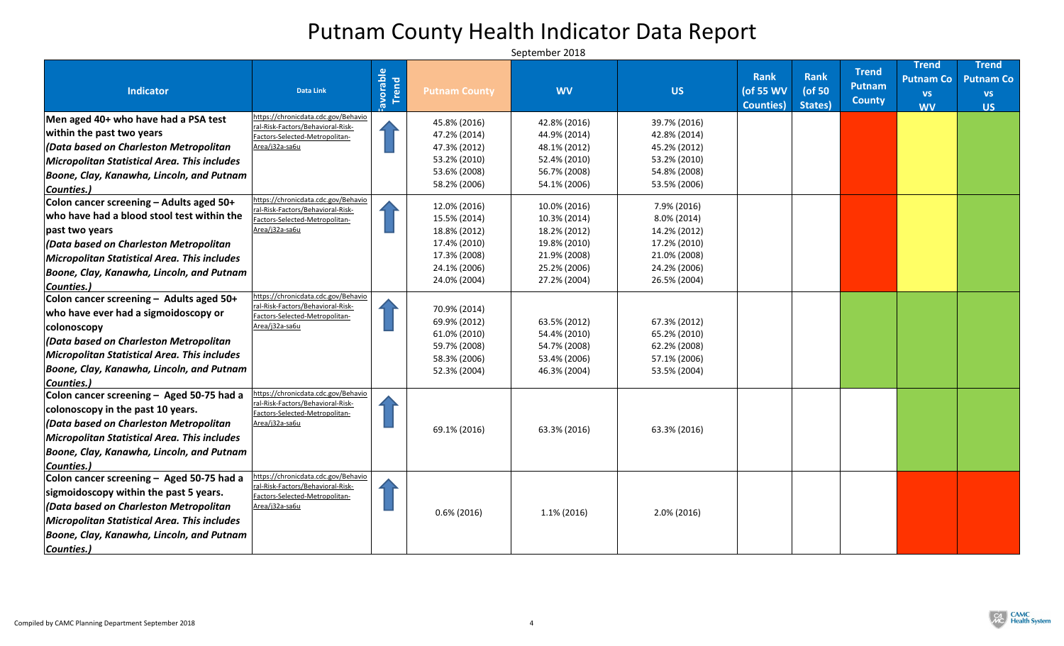|                                              |                                                                     |                |                              |                              |                              | <b>Rank</b>       | <b>Rank</b> | <b>Trend</b>  | <b>Trend</b><br><b>Putnam Co</b> | <b>Trend</b><br><b>Putnam Co</b> |
|----------------------------------------------|---------------------------------------------------------------------|----------------|------------------------------|------------------------------|------------------------------|-------------------|-------------|---------------|----------------------------------|----------------------------------|
| <b>Indicator</b>                             | <b>Data Link</b>                                                    |                | <b>Putnam County</b>         | <b>WV</b>                    | <b>US</b>                    | (of 55 WV         | ( $of 50$   | <b>Putnam</b> |                                  | <b>VS</b>                        |
|                                              |                                                                     | Frend<br>Trend |                              |                              |                              | <b>Counties</b> ) | States)     | <b>County</b> | <b>VS</b><br><b>WV</b>           | <b>US</b>                        |
| Men aged 40+ who have had a PSA test         | https://chronicdata.cdc.gov/Behavio                                 |                | 45.8% (2016)                 | 42.8% (2016)                 | 39.7% (2016)                 |                   |             |               |                                  |                                  |
| within the past two years                    | ral-Risk-Factors/Behavioral-Risk-<br>Factors-Selected-Metropolitan- |                | 47.2% (2014)                 | 44.9% (2014)                 | 42.8% (2014)                 |                   |             |               |                                  |                                  |
| $ $ (Data based on Charleston Metropolitan   | Area/j32a-sa6u                                                      |                | 47.3% (2012)                 | 48.1% (2012)                 | 45.2% (2012)                 |                   |             |               |                                  |                                  |
| Micropolitan Statistical Area. This includes |                                                                     |                | 53.2% (2010)                 | 52.4% (2010)                 | 53.2% (2010)                 |                   |             |               |                                  |                                  |
| Boone, Clay, Kanawha, Lincoln, and Putnam    |                                                                     |                | 53.6% (2008)                 | 56.7% (2008)                 | 54.8% (2008)                 |                   |             |               |                                  |                                  |
| Counties.)                                   |                                                                     |                | 58.2% (2006)                 | 54.1% (2006)                 | 53.5% (2006)                 |                   |             |               |                                  |                                  |
| Colon cancer screening - Adults aged 50+     | https://chronicdata.cdc.gov/Behavio                                 |                | 12.0% (2016)                 | 10.0% (2016)                 | 7.9% (2016)                  |                   |             |               |                                  |                                  |
| who have had a blood stool test within the   | ral-Risk-Factors/Behavioral-Risk-<br>Factors-Selected-Metropolitan- |                | 15.5% (2014)                 | 10.3% (2014)                 | $8.0\%$ (2014)               |                   |             |               |                                  |                                  |
| past two years                               | Area/j32a-sa6u                                                      |                | 18.8% (2012)                 | 18.2% (2012)                 | 14.2% (2012)                 |                   |             |               |                                  |                                  |
| $ $ (Data based on Charleston Metropolitan   |                                                                     |                | 17.4% (2010)                 | 19.8% (2010)                 | 17.2% (2010)                 |                   |             |               |                                  |                                  |
| Micropolitan Statistical Area. This includes |                                                                     |                | 17.3% (2008)                 | 21.9% (2008)                 | 21.0% (2008)                 |                   |             |               |                                  |                                  |
| Boone, Clay, Kanawha, Lincoln, and Putnam    |                                                                     |                | 24.1% (2006)                 | 25.2% (2006)                 | 24.2% (2006)                 |                   |             |               |                                  |                                  |
| Counties.)                                   |                                                                     |                | 24.0% (2004)                 | 27.2% (2004)                 | 26.5% (2004)                 |                   |             |               |                                  |                                  |
| Colon cancer screening - Adults aged 50+     | https://chronicdata.cdc.gov/Behavio                                 |                |                              |                              |                              |                   |             |               |                                  |                                  |
| who have ever had a sigmoidoscopy or         | ral-Risk-Factors/Behavioral-Risk-<br>Factors-Selected-Metropolitan- |                | 70.9% (2014)                 |                              |                              |                   |             |               |                                  |                                  |
| colonoscopy                                  | Area/j32a-sa6u                                                      |                | 69.9% (2012)                 | 63.5% (2012)                 | 67.3% (2012)                 |                   |             |               |                                  |                                  |
| $ $ (Data based on Charleston Metropolitan   |                                                                     |                | 61.0% (2010)                 | 54.4% (2010)                 | 65.2% (2010)                 |                   |             |               |                                  |                                  |
| Micropolitan Statistical Area. This includes |                                                                     |                | 59.7% (2008)                 | 54.7% (2008)                 | 62.2% (2008)                 |                   |             |               |                                  |                                  |
| Boone, Clay, Kanawha, Lincoln, and Putnam    |                                                                     |                | 58.3% (2006)<br>52.3% (2004) | 53.4% (2006)<br>46.3% (2004) | 57.1% (2006)<br>53.5% (2004) |                   |             |               |                                  |                                  |
| Counties.)                                   |                                                                     |                |                              |                              |                              |                   |             |               |                                  |                                  |
| Colon cancer screening - Aged 50-75 had a    | https://chronicdata.cdc.gov/Behavio                                 |                |                              |                              |                              |                   |             |               |                                  |                                  |
| colonoscopy in the past 10 years.            | ral-Risk-Factors/Behavioral-Risk-<br>Factors-Selected-Metropolitan- |                |                              |                              |                              |                   |             |               |                                  |                                  |
| (Data based on Charleston Metropolitan       | Area/j32a-sa6u                                                      |                |                              |                              |                              |                   |             |               |                                  |                                  |
| Micropolitan Statistical Area. This includes |                                                                     |                | 69.1% (2016)                 | 63.3% (2016)                 | 63.3% (2016)                 |                   |             |               |                                  |                                  |
| Boone, Clay, Kanawha, Lincoln, and Putnam    |                                                                     |                |                              |                              |                              |                   |             |               |                                  |                                  |
| Counties.)                                   |                                                                     |                |                              |                              |                              |                   |             |               |                                  |                                  |
| Colon cancer screening - Aged 50-75 had a    | https://chronicdata.cdc.gov/Behavio                                 |                |                              |                              |                              |                   |             |               |                                  |                                  |
| sigmoidoscopy within the past 5 years.       | ral-Risk-Factors/Behavioral-Risk-<br>Factors-Selected-Metropolitan- |                |                              |                              |                              |                   |             |               |                                  |                                  |
| (Data based on Charleston Metropolitan       | Area/j32a-sa6u                                                      |                |                              |                              |                              |                   |             |               |                                  |                                  |
| Micropolitan Statistical Area. This includes |                                                                     |                | $0.6\%$ (2016)               | $1.1\%$ (2016)               | $2.0\% (2016)$               |                   |             |               |                                  |                                  |
| Boone, Clay, Kanawha, Lincoln, and Putnam    |                                                                     |                |                              |                              |                              |                   |             |               |                                  |                                  |
| Counties.)                                   |                                                                     |                |                              |                              |                              |                   |             |               |                                  |                                  |

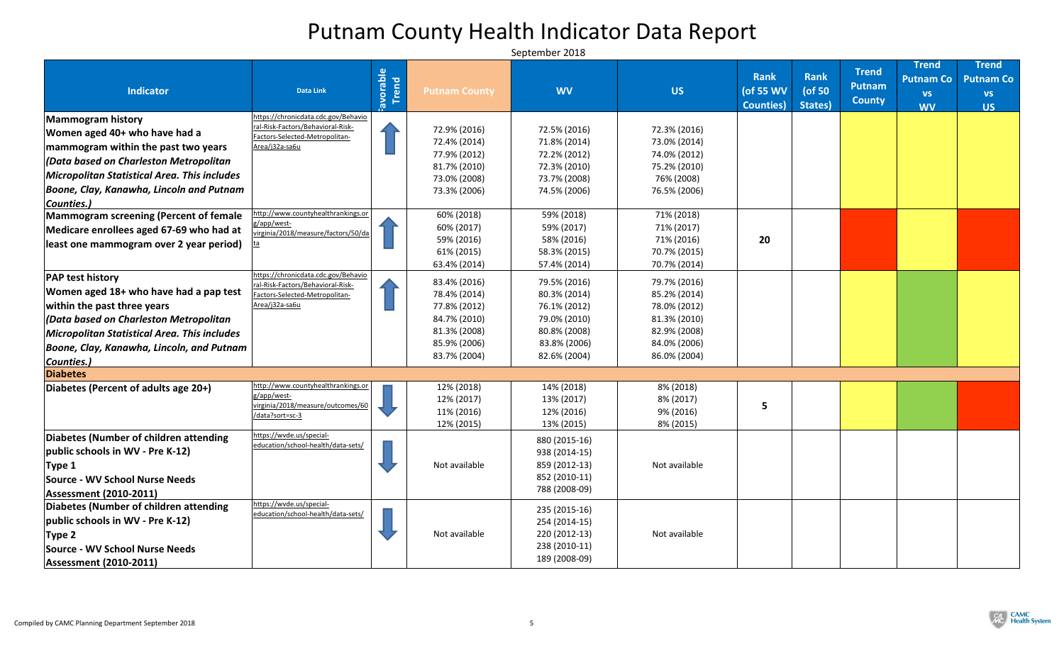| <b>Indicator</b>                                | <b>Data Link</b>                                                    | <b>Expendence</b><br>Trend | <b>Putnam County</b> | <b>WV</b>                      | <b>US</b>     | <b>Rank</b><br>(of 55 WV<br><b>Counties</b> ) | <b>Rank</b><br>( $of 50$<br>States) | <b>Trend</b><br>Putnam<br><b>County</b> | <b>Trend</b><br><b>Putnam Co</b><br><b>VS</b><br><b>WV</b> | <b>Trend</b><br><b>Putnam Co</b><br><b>VS</b><br><b>US</b> |
|-------------------------------------------------|---------------------------------------------------------------------|----------------------------|----------------------|--------------------------------|---------------|-----------------------------------------------|-------------------------------------|-----------------------------------------|------------------------------------------------------------|------------------------------------------------------------|
| Mammogram history                               | https://chronicdata.cdc.gov/Behavio                                 |                            |                      |                                |               |                                               |                                     |                                         |                                                            |                                                            |
| Women aged 40+ who have had a                   | ral-Risk-Factors/Behavioral-Risk-<br>Factors-Selected-Metropolitan- |                            | 72.9% (2016)         | 72.5% (2016)                   | 72.3% (2016)  |                                               |                                     |                                         |                                                            |                                                            |
| mammogram within the past two years             | Area/j32a-sa6u                                                      |                            | 72.4% (2014)         | 71.8% (2014)                   | 73.0% (2014)  |                                               |                                     |                                         |                                                            |                                                            |
| $ $ (Data based on Charleston Metropolitan $\,$ |                                                                     |                            | 77.9% (2012)         | 72.2% (2012)                   | 74.0% (2012)  |                                               |                                     |                                         |                                                            |                                                            |
| Micropolitan Statistical Area. This includes    |                                                                     |                            | 81.7% (2010)         | 72.3% (2010)                   | 75.2% (2010)  |                                               |                                     |                                         |                                                            |                                                            |
| Boone, Clay, Kanawha, Lincoln and Putnam        |                                                                     |                            | 73.0% (2008)         | 73.7% (2008)                   | 76% (2008)    |                                               |                                     |                                         |                                                            |                                                            |
| <b>Counties.)</b>                               |                                                                     |                            | 73.3% (2006)         | 74.5% (2006)                   | 76.5% (2006)  |                                               |                                     |                                         |                                                            |                                                            |
| <b>Mammogram screening (Percent of female</b>   | ttp://www.countyhealthrankings.or                                   |                            | 60% (2018)           | 59% (2018)                     | 71% (2018)    |                                               |                                     |                                         |                                                            |                                                            |
| Medicare enrollees aged 67-69 who had at        | g/app/west-                                                         |                            | 60% (2017)           | 59% (2017)                     | 71% (2017)    |                                               |                                     |                                         |                                                            |                                                            |
|                                                 | virginia/2018/measure/factors/50/da                                 |                            | 59% (2016)           | 58% (2016)                     | 71% (2016)    | 20                                            |                                     |                                         |                                                            |                                                            |
| least one mammogram over 2 year period)         |                                                                     |                            | 61% (2015)           | 58.3% (2015)                   | 70.7% (2015)  |                                               |                                     |                                         |                                                            |                                                            |
|                                                 |                                                                     |                            | 63.4% (2014)         | 57.4% (2014)                   | 70.7% (2014)  |                                               |                                     |                                         |                                                            |                                                            |
| <b>PAP test history</b>                         | https://chronicdata.cdc.gov/Behavio                                 |                            | 83.4% (2016)         | 79.5% (2016)                   | 79.7% (2016)  |                                               |                                     |                                         |                                                            |                                                            |
| Women aged 18+ who have had a pap test          | ral-Risk-Factors/Behavioral-Risk-<br>Factors-Selected-Metropolitan- |                            | 78.4% (2014)         | 80.3% (2014)                   | 85.2% (2014)  |                                               |                                     |                                         |                                                            |                                                            |
| within the past three years                     | Area/j32a-sa6u                                                      |                            | 77.8% (2012)         | 76.1% (2012)                   | 78.0% (2012)  |                                               |                                     |                                         |                                                            |                                                            |
| $ $ (Data based on Charleston Metropolitan      |                                                                     |                            | 84.7% (2010)         | 79.0% (2010)                   | 81.3% (2010)  |                                               |                                     |                                         |                                                            |                                                            |
| Micropolitan Statistical Area. This includes    |                                                                     |                            | 81.3% (2008)         | 80.8% (2008)                   | 82.9% (2008)  |                                               |                                     |                                         |                                                            |                                                            |
| Boone, Clay, Kanawha, Lincoln, and Putnam       |                                                                     |                            | 85.9% (2006)         | 83.8% (2006)                   | 84.0% (2006)  |                                               |                                     |                                         |                                                            |                                                            |
|                                                 |                                                                     |                            | 83.7% (2004)         | 82.6% (2004)                   | 86.0% (2004)  |                                               |                                     |                                         |                                                            |                                                            |
| <b>Counties.)</b><br><b>Diabetes</b>            |                                                                     |                            |                      |                                |               |                                               |                                     |                                         |                                                            |                                                            |
| Diabetes (Percent of adults age 20+)            | http://www.countyhealthrankings.or                                  |                            | 12% (2018)           | 14% (2018)                     | 8% (2018)     |                                               |                                     |                                         |                                                            |                                                            |
|                                                 | g/app/west-                                                         |                            | 12% (2017)           | 13% (2017)                     | 8% (2017)     |                                               |                                     |                                         |                                                            |                                                            |
|                                                 | virginia/2018/measure/outcomes/60                                   |                            | 11% (2016)           | 12% (2016)                     | 9% (2016)     |                                               |                                     |                                         |                                                            |                                                            |
|                                                 | /data?sort=sc-3                                                     |                            | 12% (2015)           | 13% (2015)                     | 8% (2015)     |                                               |                                     |                                         |                                                            |                                                            |
| Diabetes (Number of children attending          | https://wvde.us/special-                                            |                            |                      | 880 (2015-16)                  |               |                                               |                                     |                                         |                                                            |                                                            |
| public schools in WV - Pre K-12                 | education/school-health/data-sets/                                  |                            |                      | 938 (2014-15)                  |               |                                               |                                     |                                         |                                                            |                                                            |
| Type 1                                          |                                                                     |                            | Not available        | 859 (2012-13)                  | Not available |                                               |                                     |                                         |                                                            |                                                            |
| Source - WV School Nurse Needs                  |                                                                     |                            |                      | 852 (2010-11)                  |               |                                               |                                     |                                         |                                                            |                                                            |
| <b>Assessment (2010-2011)</b>                   |                                                                     |                            |                      | 788 (2008-09)                  |               |                                               |                                     |                                         |                                                            |                                                            |
| Diabetes (Number of children attending          | https://wvde.us/special-                                            |                            |                      |                                |               |                                               |                                     |                                         |                                                            |                                                            |
| public schools in WV - Pre K-12                 | education/school-health/data-sets/                                  |                            |                      | 235 (2015-16)<br>254 (2014-15) |               |                                               |                                     |                                         |                                                            |                                                            |
| Type 2                                          |                                                                     |                            | Not available        | 220 (2012-13)                  | Not available |                                               |                                     |                                         |                                                            |                                                            |
| Source - WV School Nurse Needs                  |                                                                     |                            |                      | 238 (2010-11)                  |               |                                               |                                     |                                         |                                                            |                                                            |
| <b>Assessment (2010-2011)</b>                   |                                                                     |                            |                      | 189 (2008-09)                  |               |                                               |                                     |                                         |                                                            |                                                            |

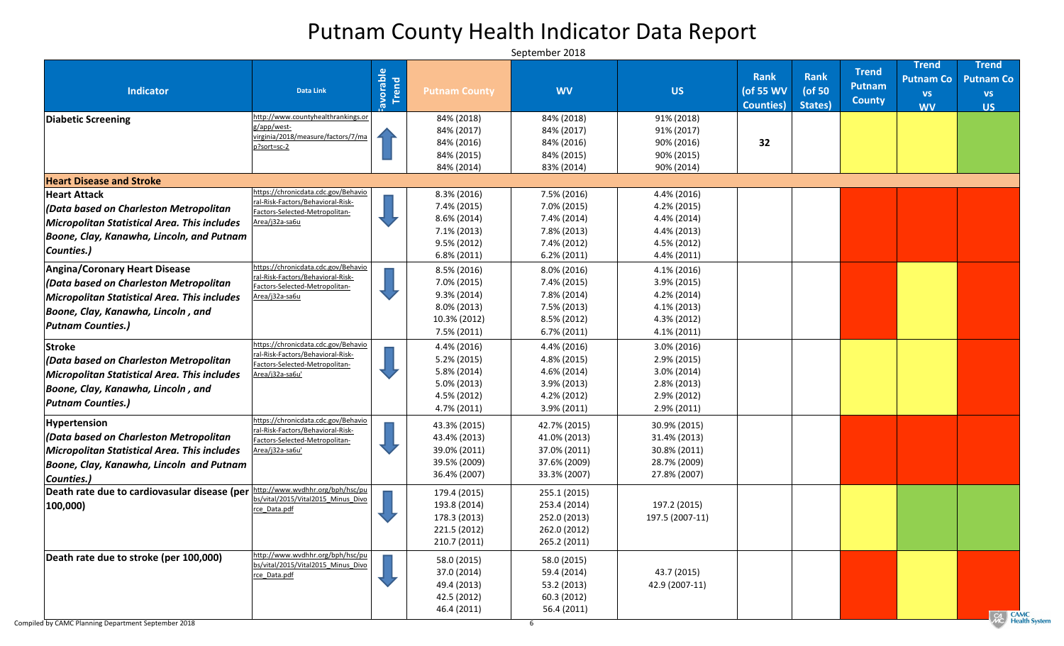# Putnam County Health Indicator Data Report

| <b>Indicator</b>                                                                                                                                                                                  | <b>Data Link</b>                                                                                                              | Favorable | <b>Putnam County</b>                                                                                  | <b>WV</b>                                                                                       | <b>US</b>                                                                                                | <b>Rank</b><br>(of 55 WV<br><b>Counties</b> ) | <b>Rank</b><br>( $of 50$<br>States) | <b>Trend</b><br><b>Putnam</b><br><b>County</b> | <b>Trend</b><br><b>Putnam Co</b><br><b>VS</b><br><b>WV</b> | <b>Trend</b><br><b>Putnam Co</b><br><b>VS</b><br><b>US</b> |
|---------------------------------------------------------------------------------------------------------------------------------------------------------------------------------------------------|-------------------------------------------------------------------------------------------------------------------------------|-----------|-------------------------------------------------------------------------------------------------------|-------------------------------------------------------------------------------------------------|----------------------------------------------------------------------------------------------------------|-----------------------------------------------|-------------------------------------|------------------------------------------------|------------------------------------------------------------|------------------------------------------------------------|
| Diabetic Screening                                                                                                                                                                                | http://www.countyhealthrankings.or<br>g/app/west-<br>virginia/2018/measure/factors/7/ma<br>p?sort=sc-2                        |           | 84% (2018)<br>84% (2017)<br>84% (2016)<br>84% (2015)<br>84% (2014)                                    | 84% (2018)<br>84% (2017)<br>84% (2016)<br>84% (2015)<br>83% (2014)                              | 91% (2018)<br>91% (2017)<br>90% (2016)<br>90% (2015)<br>90% (2014)                                       | 32                                            |                                     |                                                |                                                            |                                                            |
| <b>Heart Disease and Stroke</b>                                                                                                                                                                   |                                                                                                                               |           |                                                                                                       |                                                                                                 |                                                                                                          |                                               |                                     |                                                |                                                            |                                                            |
| <b>Heart Attack</b><br>$ $ (Data based on Charleston Metropolitan<br>Micropolitan Statistical Area. This includes<br>Boone, Clay, Kanawha, Lincoln, and Putnam<br>Counties.)                      | https://chronicdata.cdc.gov/Behavio<br>ral-Risk-Factors/Behavioral-Risk-<br>Factors-Selected-Metropolitan-<br>Area/j32a-sa6u  |           | $8.3\%$ (2016)<br>7.4% (2015)<br>$8.6\% (2014)$<br>$7.1\% (2013)$<br>$9.5\% (2012)$<br>$6.8\%$ (2011) | 7.5% (2016)<br>7.0% (2015)<br>7.4% (2014)<br>7.8% (2013)<br>7.4% (2012)<br>$6.2\%$ (2011)       | 4.4% (2016)<br>4.2% (2015)<br>4.4% (2014)<br>4.4% (2013)<br>4.5% (2012)<br>$4.4\% (2011)$                |                                               |                                     |                                                |                                                            |                                                            |
| <b>Angina/Coronary Heart Disease</b><br> (Data based on Charleston Metropolitan<br>Micropolitan Statistical Area. This includes<br>Boone, Clay, Kanawha, Lincoln, and<br><b>Putnam Counties.)</b> | https://chronicdata.cdc.gov/Behavio<br>ral-Risk-Factors/Behavioral-Risk-<br>Factors-Selected-Metropolitan-<br>Area/j32a-sa6u  |           | $8.5\%$ (2016)<br>7.0% (2015)<br>$9.3\% (2014)$<br>$8.0\% (2013)$<br>10.3% (2012)<br>$7.5\%$ (2011)   | $8.0\%$ (2016)<br>7.4% (2015)<br>7.8% (2014)<br>7.5% (2013)<br>$8.5\% (2012)$<br>$6.7\%$ (2011) | $4.1\%$ (2016)<br>$3.9\% (2015)$<br>$4.2\% (2014)$<br>$4.1\% (2013)$<br>$4.3\% (2012)$<br>$4.1\% (2011)$ |                                               |                                     |                                                |                                                            |                                                            |
| Stroke<br> (Data based on Charleston Metropolitan<br>Micropolitan Statistical Area. This includes<br>Boone, Clay, Kanawha, Lincoln, and<br><b>Putnam Counties.)</b>                               | https://chronicdata.cdc.gov/Behavio<br>ral-Risk-Factors/Behavioral-Risk-<br>Factors-Selected-Metropolitan-<br>Area/j32a-sa6u' |           | 4.4% (2016)<br>$5.2\% (2015)$<br>$5.8\%$ (2014)<br>$5.0\% (2013)$<br>4.5% (2012)<br>4.7% (2011)       | 4.4% (2016)<br>4.8% (2015)<br>4.6% (2014)<br>3.9% (2013)<br>4.2% (2012)<br>3.9% (2011)          | $3.0\% (2016)$<br>$2.9\% (2015)$<br>$3.0\% (2014)$<br>$2.8\% (2013)$<br>$2.9\% (2012)$<br>$2.9\% (2011)$ |                                               |                                     |                                                |                                                            |                                                            |
| <b>Hypertension</b><br>$ $ (Data based on Charleston Metropolitan<br>Micropolitan Statistical Area. This includes<br>Boone, Clay, Kanawha, Lincoln and Putnam<br>Counties.)                       | https://chronicdata.cdc.gov/Behavio<br>ral-Risk-Factors/Behavioral-Risk-<br>Factors-Selected-Metropolitan-<br>Area/j32a-sa6u' |           | 43.3% (2015)<br>43.4% (2013)<br>39.0% (2011)<br>39.5% (2009)<br>36.4% (2007)                          | 42.7% (2015)<br>41.0% (2013)<br>37.0% (2011)<br>37.6% (2009)<br>33.3% (2007)                    | 30.9% (2015)<br>31.4% (2013)<br>30.8% (2011)<br>28.7% (2009)<br>27.8% (2007)                             |                                               |                                     |                                                |                                                            |                                                            |
| Death rate due to cardiovasular disease (per<br>$ 100,000\rangle$                                                                                                                                 | http://www.wvdhhr.org/bph/hsc/pu<br>bs/vital/2015/Vital2015 Minus Divo<br>rce Data.pdf                                        |           | 179.4 (2015)<br>193.8 (2014)<br>178.3 (2013)<br>221.5 (2012)<br>210.7 (2011)                          | 255.1 (2015)<br>253.4 (2014)<br>252.0 (2013)<br>262.0 (2012)<br>265.2 (2011)                    | 197.2 (2015)<br>197.5 (2007-11)                                                                          |                                               |                                     |                                                |                                                            |                                                            |
| Death rate due to stroke (per 100,000)                                                                                                                                                            | http://www.wvdhhr.org/bph/hsc/pu<br>bs/vital/2015/Vital2015_Minus_Divo<br>rce Data.pdf                                        |           | 58.0 (2015)<br>37.0 (2014)<br>49.4 (2013)<br>42.5 (2012)<br>46.4 (2011)                               | 58.0 (2015)<br>59.4 (2014)<br>53.2 (2013)<br>60.3 (2012)<br>56.4 (2011)                         | 43.7 (2015)<br>42.9 (2007-11)                                                                            |                                               |                                     |                                                |                                                            | $\boxed{C_1}$ $CA$                                         |

CA CAMC<br>Vic Health System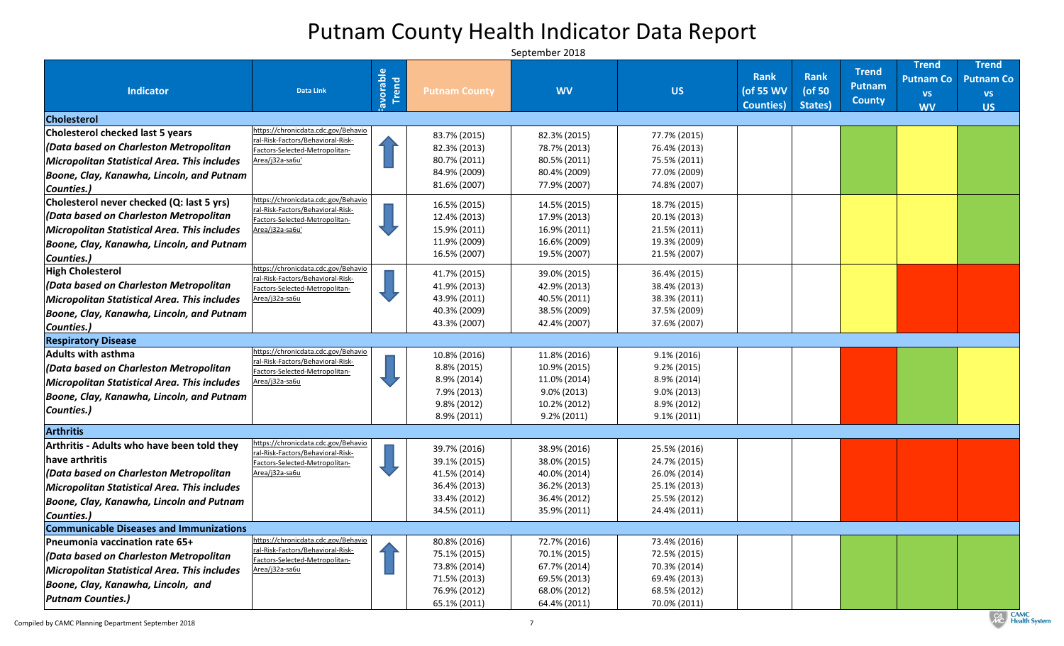## Putnam County Health Indicator Data Report

|                                                                                         |                                                                          | avorable |                                  |                                |                                  | <b>Rank</b>       | Rank      | <b>Trend</b>  | <b>Trend</b><br><b>Putnam Co</b> | <b>Trend</b><br><b>Putnam Co</b> |
|-----------------------------------------------------------------------------------------|--------------------------------------------------------------------------|----------|----------------------------------|--------------------------------|----------------------------------|-------------------|-----------|---------------|----------------------------------|----------------------------------|
| <b>Indicator</b>                                                                        | <b>Data Link</b>                                                         | Trend    | <b>Putnam County</b>             | <b>WV</b>                      | <b>US</b>                        | (of 55 WV         | ( $of 50$ | <b>Putnam</b> | <b>VS</b>                        | <b>VS</b>                        |
|                                                                                         |                                                                          |          |                                  |                                |                                  | <b>Counties</b> ) | States)   | <b>County</b> | <b>WV</b>                        | <b>US</b>                        |
| <b>Cholesterol</b>                                                                      |                                                                          |          |                                  |                                |                                  |                   |           |               |                                  |                                  |
| <b>Cholesterol checked last 5 years</b>                                                 | https://chronicdata.cdc.gov/Behavio                                      |          | 83.7% (2015)                     | 82.3% (2015)                   | 77.7% (2015)                     |                   |           |               |                                  |                                  |
| (Data based on Charleston Metropolitan                                                  | ral-Risk-Factors/Behavioral-Risk-<br>Factors-Selected-Metropolitan-      |          | 82.3% (2013)                     | 78.7% (2013)                   | 76.4% (2013)                     |                   |           |               |                                  |                                  |
| Micropolitan Statistical Area. This includes                                            | Area/j32a-sa6u'                                                          |          | 80.7% (2011)                     | 80.5% (2011)                   | 75.5% (2011)                     |                   |           |               |                                  |                                  |
| Boone, Clay, Kanawha, Lincoln, and Putnam                                               |                                                                          |          | 84.9% (2009)                     | 80.4% (2009)                   | 77.0% (2009)                     |                   |           |               |                                  |                                  |
| Counties.)                                                                              |                                                                          |          | 81.6% (2007)                     | 77.9% (2007)                   | 74.8% (2007)                     |                   |           |               |                                  |                                  |
| Cholesterol never checked (Q: last 5 yrs)                                               | https://chronicdata.cdc.gov/Behavio<br>ral-Risk-Factors/Behavioral-Risk- |          | 16.5% (2015)                     | 14.5% (2015)                   | 18.7% (2015)                     |                   |           |               |                                  |                                  |
| (Data based on Charleston Metropolitan                                                  | Factors-Selected-Metropolitan-                                           |          | 12.4% (2013)                     | 17.9% (2013)                   | 20.1% (2013)                     |                   |           |               |                                  |                                  |
| Micropolitan Statistical Area. This includes                                            | Area/j32a-sa6u'                                                          |          | 15.9% (2011)                     | 16.9% (2011)                   | 21.5% (2011)                     |                   |           |               |                                  |                                  |
| Boone, Clay, Kanawha, Lincoln, and Putnam                                               |                                                                          |          | 11.9% (2009)                     | 16.6% (2009)                   | 19.3% (2009)                     |                   |           |               |                                  |                                  |
| Counties.)                                                                              |                                                                          |          | 16.5% (2007)                     | 19.5% (2007)                   | 21.5% (2007)                     |                   |           |               |                                  |                                  |
| <b>High Cholesterol</b>                                                                 | https://chronicdata.cdc.gov/Behavio<br>ral-Risk-Factors/Behavioral-Risk- |          | 41.7% (2015)                     | 39.0% (2015)                   | 36.4% (2015)                     |                   |           |               |                                  |                                  |
| $ $ (Data based on Charleston Metropolitan                                              | Factors-Selected-Metropolitan-                                           |          | 41.9% (2013)                     | 42.9% (2013)                   | 38.4% (2013)                     |                   |           |               |                                  |                                  |
| Micropolitan Statistical Area. This includes                                            | Area/j32a-sa6u                                                           |          | 43.9% (2011)                     | 40.5% (2011)                   | 38.3% (2011)                     |                   |           |               |                                  |                                  |
| Boone, Clay, Kanawha, Lincoln, and Putnam                                               |                                                                          |          | 40.3% (2009)                     | 38.5% (2009)                   | 37.5% (2009)                     |                   |           |               |                                  |                                  |
| Counties.)                                                                              |                                                                          |          | 43.3% (2007)                     | 42.4% (2007)                   | 37.6% (2007)                     |                   |           |               |                                  |                                  |
| <b>Respiratory Disease</b>                                                              |                                                                          |          |                                  |                                |                                  |                   |           |               |                                  |                                  |
| <b>Adults with asthma</b>                                                               | https://chronicdata.cdc.gov/Behavio<br>ral-Risk-Factors/Behavioral-Risk- |          | 10.8% (2016)                     | 11.8% (2016)                   | $9.1\% (2016)$                   |                   |           |               |                                  |                                  |
| (Data based on Charleston Metropolitan                                                  | Factors-Selected-Metropolitan-                                           |          | 8.8% (2015)                      | 10.9% (2015)                   | $9.2\% (2015)$                   |                   |           |               |                                  |                                  |
| Micropolitan Statistical Area. This includes                                            | Area/j32a-sa6u                                                           |          | 8.9% (2014)                      | 11.0% (2014)                   | 8.9% (2014)                      |                   |           |               |                                  |                                  |
| Boone, Clay, Kanawha, Lincoln, and Putnam                                               |                                                                          |          | 7.9% (2013)                      | $9.0\% (2013)$                 | $9.0\% (2013)$                   |                   |           |               |                                  |                                  |
| Counties.)                                                                              |                                                                          |          | $9.8\% (2012)$<br>$8.9\% (2011)$ | 10.2% (2012)<br>$9.2\% (2011)$ | $8.9\% (2012)$<br>$9.1\% (2011)$ |                   |           |               |                                  |                                  |
|                                                                                         |                                                                          |          |                                  |                                |                                  |                   |           |               |                                  |                                  |
| <b>Arthritis</b><br><b>Arthritis - Adults who have been told they</b>                   | https://chronicdata.cdc.gov/Behavio                                      |          |                                  |                                |                                  |                   |           |               |                                  |                                  |
|                                                                                         | ral-Risk-Factors/Behavioral-Risk-                                        |          | 39.7% (2016)                     | 38.9% (2016)                   | 25.5% (2016)                     |                   |           |               |                                  |                                  |
| have arthritis                                                                          | Factors-Selected-Metropolitan-                                           |          | 39.1% (2015)                     | 38.0% (2015)                   | 24.7% (2015)                     |                   |           |               |                                  |                                  |
| $ $ (Data based on Charleston Metropolitan                                              | Area/j32a-sa6u                                                           |          | 41.5% (2014)                     | 40.0% (2014)                   | 26.0% (2014)                     |                   |           |               |                                  |                                  |
| <b>Micropolitan Statistical Area. This includes</b>                                     |                                                                          |          | 36.4% (2013)<br>33.4% (2012)     | 36.2% (2013)<br>36.4% (2012)   | 25.1% (2013)<br>25.5% (2012)     |                   |           |               |                                  |                                  |
| Boone, Clay, Kanawha, Lincoln and Putnam                                                |                                                                          |          | 34.5% (2011)                     | 35.9% (2011)                   | 24.4% (2011)                     |                   |           |               |                                  |                                  |
| Counties.)                                                                              |                                                                          |          |                                  |                                |                                  |                   |           |               |                                  |                                  |
| <b>Communicable Diseases and Immunizations</b><br><b>Pneumonia vaccination rate 65+</b> | nttps://chronicdata.cdc.gov/Behavio                                      |          | 80.8% (2016)                     | 72.7% (2016)                   | 73.4% (2016)                     |                   |           |               |                                  |                                  |
|                                                                                         | ral-Risk-Factors/Behavioral-Risk-                                        |          | 75.1% (2015)                     | 70.1% (2015)                   | 72.5% (2015)                     |                   |           |               |                                  |                                  |
| $ $ (Data based on Charleston Metropolitan                                              | Factors-Selected-Metropolitan-<br>Area/j32a-sa6u                         |          | 73.8% (2014)                     | 67.7% (2014)                   | 70.3% (2014)                     |                   |           |               |                                  |                                  |
| <b>Micropolitan Statistical Area. This includes</b>                                     |                                                                          |          | 71.5% (2013)                     | 69.5% (2013)                   | 69.4% (2013)                     |                   |           |               |                                  |                                  |
| Boone, Clay, Kanawha, Lincoln, and                                                      |                                                                          |          | 76.9% (2012)                     | 68.0% (2012)                   | 68.5% (2012)                     |                   |           |               |                                  |                                  |
| <b>Putnam Counties.)</b>                                                                |                                                                          |          | 65.1% (2011)                     | 64.4% (2011)                   | 70.0% (2011)                     |                   |           |               |                                  |                                  |

CAMC<br>
Health System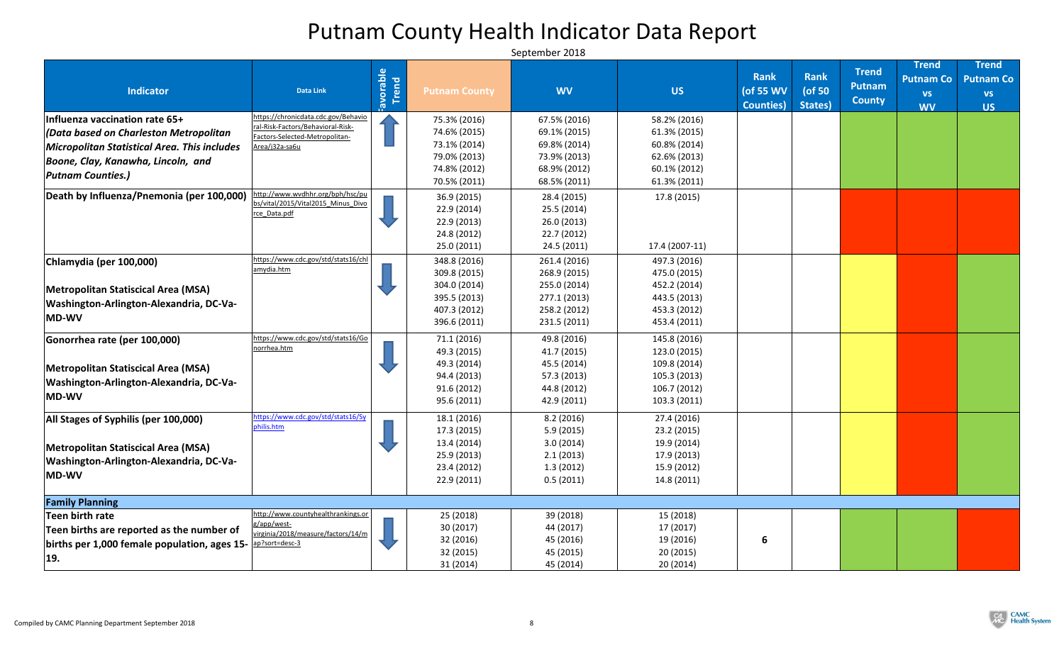| <b>Indicator</b>                                                          | <b>Data Link</b>                                                    | Frend<br>Trend | <b>Putnam County</b> | <b>WV</b>    | <b>US</b>      | <b>Rank</b><br>(of 55 WV<br><b>Counties</b> ) | <b>Rank</b><br>( $of 50$<br>States) | <b>Trend</b><br><b>Putnam</b><br><b>County</b> | <b>Trend</b><br><b>Putnam Co</b><br><b>VS</b><br><b>WV</b> | <b>Trend</b><br><b>Putnam Co</b><br><b>VS</b><br><b>US</b> |
|---------------------------------------------------------------------------|---------------------------------------------------------------------|----------------|----------------------|--------------|----------------|-----------------------------------------------|-------------------------------------|------------------------------------------------|------------------------------------------------------------|------------------------------------------------------------|
| Influenza vaccination rate 65+                                            | https://chronicdata.cdc.gov/Behavio                                 |                | 75.3% (2016)         | 67.5% (2016) | 58.2% (2016)   |                                               |                                     |                                                |                                                            |                                                            |
| (Data based on Charleston Metropolitan                                    | ral-Risk-Factors/Behavioral-Risk-<br>Factors-Selected-Metropolitan- |                | 74.6% (2015)         | 69.1% (2015) | 61.3% (2015)   |                                               |                                     |                                                |                                                            |                                                            |
| Micropolitan Statistical Area. This includes                              | Area/j32a-sa6u                                                      |                | 73.1% (2014)         | 69.8% (2014) | 60.8% (2014)   |                                               |                                     |                                                |                                                            |                                                            |
| Boone, Clay, Kanawha, Lincoln, and                                        |                                                                     |                | 79.0% (2013)         | 73.9% (2013) | 62.6% (2013)   |                                               |                                     |                                                |                                                            |                                                            |
| <b>Putnam Counties.)</b>                                                  |                                                                     |                | 74.8% (2012)         | 68.9% (2012) | 60.1% (2012)   |                                               |                                     |                                                |                                                            |                                                            |
|                                                                           |                                                                     |                | 70.5% (2011)         | 68.5% (2011) | 61.3% (2011)   |                                               |                                     |                                                |                                                            |                                                            |
| Death by Influenza/Pnemonia (per 100,000)                                 | http://www.wvdhhr.org/bph/hsc/pu                                    |                | 36.9 (2015)          | 28.4 (2015)  | 17.8 (2015)    |                                               |                                     |                                                |                                                            |                                                            |
|                                                                           | bs/vital/2015/Vital2015_Minus_Divo<br>rce Data.pdf                  |                | 22.9 (2014)          | 25.5 (2014)  |                |                                               |                                     |                                                |                                                            |                                                            |
|                                                                           |                                                                     |                | 22.9(2013)           | 26.0(2013)   |                |                                               |                                     |                                                |                                                            |                                                            |
|                                                                           |                                                                     |                | 24.8 (2012)          | 22.7(2012)   |                |                                               |                                     |                                                |                                                            |                                                            |
|                                                                           |                                                                     |                | 25.0(2011)           | 24.5 (2011)  | 17.4 (2007-11) |                                               |                                     |                                                |                                                            |                                                            |
| Chlamydia (per 100,000)                                                   | https://www.cdc.gov/std/stats16/chl                                 |                | 348.8 (2016)         | 261.4 (2016) | 497.3 (2016)   |                                               |                                     |                                                |                                                            |                                                            |
|                                                                           | amydia.htm                                                          |                | 309.8 (2015)         | 268.9 (2015) | 475.0 (2015)   |                                               |                                     |                                                |                                                            |                                                            |
| Metropolitan Statiscical Area (MSA)                                       |                                                                     |                | 304.0 (2014)         | 255.0 (2014) | 452.2 (2014)   |                                               |                                     |                                                |                                                            |                                                            |
|                                                                           |                                                                     |                | 395.5 (2013)         | 277.1 (2013) | 443.5 (2013)   |                                               |                                     |                                                |                                                            |                                                            |
| Washington-Arlington-Alexandria, DC-Va-                                   |                                                                     |                | 407.3 (2012)         | 258.2 (2012) | 453.3 (2012)   |                                               |                                     |                                                |                                                            |                                                            |
| MD-WV                                                                     |                                                                     |                | 396.6 (2011)         | 231.5 (2011) | 453.4 (2011)   |                                               |                                     |                                                |                                                            |                                                            |
| Gonorrhea rate (per 100,000)                                              | https://www.cdc.gov/std/stats16/Go                                  |                | 71.1 (2016)          | 49.8 (2016)  | 145.8 (2016)   |                                               |                                     |                                                |                                                            |                                                            |
|                                                                           | norrhea.htm                                                         |                | 49.3 (2015)          | 41.7 (2015)  | 123.0 (2015)   |                                               |                                     |                                                |                                                            |                                                            |
| Metropolitan Statiscical Area (MSA)                                       |                                                                     |                | 49.3 (2014)          | 45.5 (2014)  | 109.8 (2014)   |                                               |                                     |                                                |                                                            |                                                            |
|                                                                           |                                                                     |                | 94.4 (2013)          | 57.3 (2013)  | 105.3 (2013)   |                                               |                                     |                                                |                                                            |                                                            |
| Washington-Arlington-Alexandria, DC-Va-                                   |                                                                     |                | 91.6 (2012)          | 44.8 (2012)  | 106.7 (2012)   |                                               |                                     |                                                |                                                            |                                                            |
| $ MD-WV $                                                                 |                                                                     |                | 95.6 (2011)          | 42.9 (2011)  | 103.3 (2011)   |                                               |                                     |                                                |                                                            |                                                            |
| All Stages of Syphilis (per 100,000)                                      | ittps://www.cdc.gov/std/stats16/Sy                                  |                | 18.1 (2016)          | 8.2(2016)    | 27.4 (2016)    |                                               |                                     |                                                |                                                            |                                                            |
|                                                                           | philis.htm                                                          |                | 17.3 (2015)          | 5.9(2015)    | 23.2 (2015)    |                                               |                                     |                                                |                                                            |                                                            |
| Metropolitan Statiscical Area (MSA)                                       |                                                                     |                | 13.4 (2014)          | 3.0(2014)    | 19.9 (2014)    |                                               |                                     |                                                |                                                            |                                                            |
| Washington-Arlington-Alexandria, DC-Va-                                   |                                                                     |                | 25.9(2013)           | 2.1(2013)    | 17.9 (2013)    |                                               |                                     |                                                |                                                            |                                                            |
|                                                                           |                                                                     |                | 23.4 (2012)          | 1.3(2012)    | 15.9 (2012)    |                                               |                                     |                                                |                                                            |                                                            |
| <b>MD-WV</b>                                                              |                                                                     |                | 22.9 (2011)          | 0.5(2011)    | 14.8 (2011)    |                                               |                                     |                                                |                                                            |                                                            |
| <b>Family Planning</b>                                                    |                                                                     |                |                      |              |                |                                               |                                     |                                                |                                                            |                                                            |
| Teen birth rate                                                           | http://www.countyhealthrankings.or                                  |                | 25 (2018)            | 39 (2018)    | 15 (2018)      |                                               |                                     |                                                |                                                            |                                                            |
| Teen births are reported as the number of                                 | g/app/west-                                                         |                | 30(2017)             | 44 (2017)    | 17 (2017)      |                                               |                                     |                                                |                                                            |                                                            |
| births per 1,000 female population, ages 15- $\frac{ap?sort = desc-3}{p}$ | virginia/2018/measure/factors/14/m                                  |                | 32 (2016)            | 45 (2016)    | 19 (2016)      | 6                                             |                                     |                                                |                                                            |                                                            |
|                                                                           |                                                                     |                | 32 (2015)            | 45 (2015)    | 20 (2015)      |                                               |                                     |                                                |                                                            |                                                            |
| 19.                                                                       |                                                                     |                | 31(2014)             | 45 (2014)    | 20(2014)       |                                               |                                     |                                                |                                                            |                                                            |

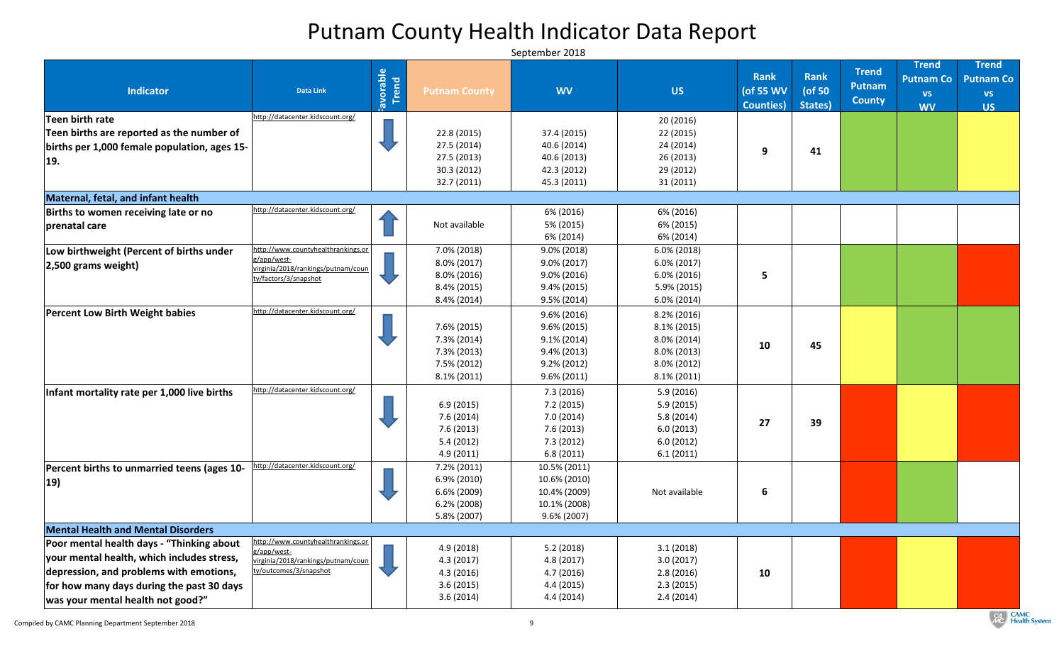# Putnam County Health Indicator Data Report

| <b>Indicator</b>                                                                                                                                                                                                     | <b>Data Link</b>                                                                                                   | Favorable<br>Trend | <b>Putnam County</b>                                                                | <b>WV</b>                                                                                                | <b>US</b>                                                                                                | <b>Rank</b><br>(of 55 WV<br><b>Counties</b> ) | Rank<br>( $of 50$<br>States) | <b>Trend</b><br>Putnam<br><b>County</b> | <b>Trend</b><br><b>Putnam Co</b><br><b>VS</b><br><b>WV</b> | <b>Trend</b><br><b>Putnam Co</b><br><b>VS</b><br><b>US</b> |
|----------------------------------------------------------------------------------------------------------------------------------------------------------------------------------------------------------------------|--------------------------------------------------------------------------------------------------------------------|--------------------|-------------------------------------------------------------------------------------|----------------------------------------------------------------------------------------------------------|----------------------------------------------------------------------------------------------------------|-----------------------------------------------|------------------------------|-----------------------------------------|------------------------------------------------------------|------------------------------------------------------------|
| Teen birth rate<br>Teen births are reported as the number of<br>births per 1,000 female population, ages 15-<br><b>19.</b>                                                                                           | http://datacenter.kidscount.org/                                                                                   |                    | 22.8 (2015)<br>27.5 (2014)<br>27.5 (2013)<br>30.3(2012)<br>32.7(2011)               | 37.4 (2015)<br>40.6 (2014)<br>40.6 (2013)<br>42.3 (2012)<br>45.3 (2011)                                  | 20 (2016)<br>22 (2015)<br>24 (2014)<br>26 (2013)<br>29 (2012)<br>31 (2011)                               | 9                                             | 41                           |                                         |                                                            |                                                            |
| Maternal, fetal, and infant health                                                                                                                                                                                   |                                                                                                                    |                    |                                                                                     |                                                                                                          |                                                                                                          |                                               |                              |                                         |                                                            |                                                            |
| Births to women receiving late or no<br>prenatal care                                                                                                                                                                | http://datacenter.kidscount.org/                                                                                   |                    | Not available                                                                       | 6% (2016)<br>5% (2015)<br>6% (2014)                                                                      | 6% (2016)<br>6% (2015)<br>6% (2014)                                                                      |                                               |                              |                                         |                                                            |                                                            |
| Low birthweight (Percent of births under<br>$ 2,500$ grams weight)                                                                                                                                                   | http://www.countyhealthrankings.or<br>g/app/west-<br>virginia/2018/rankings/putnam/coun  <br>ty/factors/3/snapshot |                    | 7.0% (2018)<br>$8.0\% (2017)$<br>$8.0\%$ (2016)<br>8.4% (2015)<br>$8.4\%$ (2014)    | 9.0% (2018)<br>9.0% (2017)<br>$9.0\%$ (2016)<br>9.4% (2015)<br>$9.5\% (2014)$                            | $6.0\%$ (2018)<br>$6.0\%$ (2017)<br>$6.0\%$ (2016)<br>5.9% (2015)<br>$6.0\%$ (2014)                      | 5                                             |                              |                                         |                                                            |                                                            |
| <b>Percent Low Birth Weight babies</b>                                                                                                                                                                               | http://datacenter.kidscount.org/                                                                                   |                    | 7.6% (2015)<br>$7.3\%$ (2014)<br>$7.3\%$ (2013)<br>7.5% (2012)<br>$8.1\% (2011)$    | $9.6\% (2016)$<br>$9.6\% (2015)$<br>$9.1\% (2014)$<br>$9.4\% (2013)$<br>$9.2\% (2012)$<br>$9.6\% (2011)$ | $8.2\%$ (2016)<br>$8.1\% (2015)$<br>$8.0\% (2014)$<br>$8.0\% (2013)$<br>$8.0\% (2012)$<br>$8.1\% (2011)$ | 10                                            | 45                           |                                         |                                                            |                                                            |
| Infant mortality rate per 1,000 live births                                                                                                                                                                          | http://datacenter.kidscount.org/                                                                                   |                    | 6.9(2015)<br>7.6(2014)<br>7.6(2013)<br>5.4(2012)<br>4.9(2011)                       | 7.3(2016)<br>7.2(2015)<br>7.0(2014)<br>7.6(2013)<br>7.3(2012)<br>6.8(2011)                               | 5.9(2016)<br>5.9(2015)<br>5.8(2014)<br>6.0(2013)<br>6.0(2012)<br>6.1(2011)                               | 27                                            | 39                           |                                         |                                                            |                                                            |
| Percent births to unmarried teens (ages 10-<br>$ 19\rangle$                                                                                                                                                          | http://datacenter.kidscount.org/                                                                                   |                    | $7.2\% (2011)$<br>$6.9\%$ (2010)<br>$6.6\%$ (2009)<br>$6.2\%$ (2008)<br>5.8% (2007) | 10.5% (2011)<br>10.6% (2010)<br>10.4% (2009)<br>10.1% (2008)<br>$9.6\% (2007)$                           | Not available                                                                                            | 6                                             |                              |                                         |                                                            |                                                            |
| <b>Mental Health and Mental Disorders</b>                                                                                                                                                                            |                                                                                                                    |                    |                                                                                     |                                                                                                          |                                                                                                          |                                               |                              |                                         |                                                            |                                                            |
| Poor mental health days - "Thinking about<br>your mental health, which includes stress,<br>depression, and problems with emotions,<br>for how many days during the past 30 days<br>was your mental health not good?" | http://www.countyhealthrankings.or<br>g/app/west-<br>virginia/2018/rankings/putnam/coun<br>ty/outcomes/3/snapshot  |                    | 4.9(2018)<br>4.3(2017)<br>4.3(2016)<br>3.6(2015)<br>3.6(2014)                       | 5.2(2018)<br>4.8(2017)<br>4.7(2016)<br>4.4 (2015)<br>4.4(2014)                                           | 3.1(2018)<br>3.0(2017)<br>2.8(2016)<br>2.3(2015)<br>2.4(2014)                                            | 10                                            |                              |                                         |                                                            |                                                            |

**CAMC**<br> **CAMC**<br> **Health System**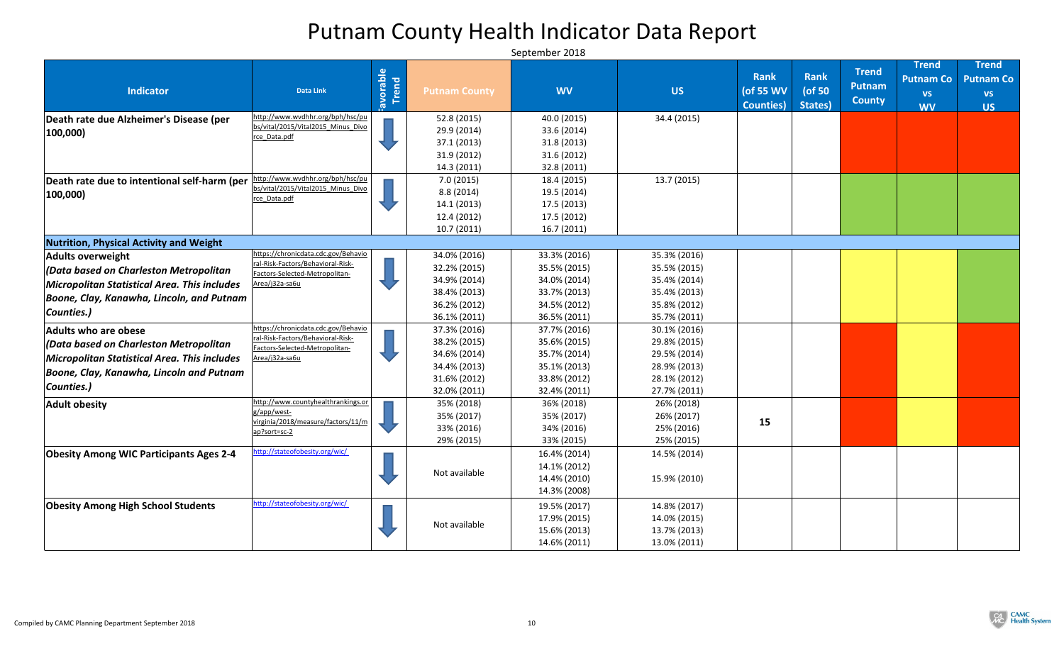| <b>Indicator</b>                               | <b>Data Link</b>                                                         | Favorable | <b>Putnam County</b> | <b>WV</b>    | <b>US</b>    | <b>Rank</b><br>(of 55 WV | Rank<br>(of 50 | <b>Trend</b><br><b>Putnam</b> | <b>Trend</b><br><b>Putnam Co</b><br><b>VS</b> | <b>Trend</b><br><b>Putnam Co</b><br><b>VS</b> |
|------------------------------------------------|--------------------------------------------------------------------------|-----------|----------------------|--------------|--------------|--------------------------|----------------|-------------------------------|-----------------------------------------------|-----------------------------------------------|
|                                                |                                                                          |           |                      |              |              | <b>Counties</b> )        | States)        | <b>County</b>                 | <b>WV</b>                                     | <b>US</b>                                     |
| Death rate due Alzheimer's Disease (per        | http://www.wvdhhr.org/bph/hsc/pu                                         |           | 52.8 (2015)          | 40.0 (2015)  | 34.4 (2015)  |                          |                |                               |                                               |                                               |
| $ 100,000\rangle$                              | bs/vital/2015/Vital2015 Minus Divo<br>rce_Data.pdf                       |           | 29.9 (2014)          | 33.6 (2014)  |              |                          |                |                               |                                               |                                               |
|                                                |                                                                          |           | 37.1 (2013)          | 31.8(2013)   |              |                          |                |                               |                                               |                                               |
|                                                |                                                                          |           | 31.9 (2012)          | 31.6 (2012)  |              |                          |                |                               |                                               |                                               |
|                                                |                                                                          |           | 14.3 (2011)          | 32.8 (2011)  |              |                          |                |                               |                                               |                                               |
| Death rate due to intentional self-harm (per   | http://www.wvdhhr.org/bph/hsc/pu<br>bs/vital/2015/Vital2015 Minus Divo   |           | 7.0(2015)            | 18.4 (2015)  | 13.7(2015)   |                          |                |                               |                                               |                                               |
| $ 100,000\rangle$                              | rce Data.pdf                                                             |           | 8.8(2014)            | 19.5 (2014)  |              |                          |                |                               |                                               |                                               |
|                                                |                                                                          |           | 14.1 (2013)          | 17.5 (2013)  |              |                          |                |                               |                                               |                                               |
|                                                |                                                                          |           | 12.4 (2012)          | 17.5 (2012)  |              |                          |                |                               |                                               |                                               |
|                                                |                                                                          |           | 10.7(2011)           | 16.7(2011)   |              |                          |                |                               |                                               |                                               |
| <b>Nutrition, Physical Activity and Weight</b> |                                                                          |           |                      |              |              |                          |                |                               |                                               |                                               |
| <b>Adults overweight</b>                       | https://chronicdata.cdc.gov/Behavio<br>ral-Risk-Factors/Behavioral-Risk- |           | 34.0% (2016)         | 33.3% (2016) | 35.3% (2016) |                          |                |                               |                                               |                                               |
| (Data based on Charleston Metropolitan         | Factors-Selected-Metropolitan-                                           |           | 32.2% (2015)         | 35.5% (2015) | 35.5% (2015) |                          |                |                               |                                               |                                               |
| Micropolitan Statistical Area. This includes   | Area/j32a-sa6u                                                           |           | 34.9% (2014)         | 34.0% (2014) | 35.4% (2014) |                          |                |                               |                                               |                                               |
| Boone, Clay, Kanawha, Lincoln, and Putnam      |                                                                          |           | 38.4% (2013)         | 33.7% (2013) | 35.4% (2013) |                          |                |                               |                                               |                                               |
| Counties.)                                     |                                                                          |           | 36.2% (2012)         | 34.5% (2012) | 35.8% (2012) |                          |                |                               |                                               |                                               |
|                                                |                                                                          |           | 36.1% (2011)         | 36.5% (2011) | 35.7% (2011) |                          |                |                               |                                               |                                               |
| <b>Adults who are obese</b>                    | https://chronicdata.cdc.gov/Behavio<br>ral-Risk-Factors/Behavioral-Risk- |           | 37.3% (2016)         | 37.7% (2016) | 30.1% (2016) |                          |                |                               |                                               |                                               |
| (Data based on Charleston Metropolitan         | Factors-Selected-Metropolitan-                                           |           | 38.2% (2015)         | 35.6% (2015) | 29.8% (2015) |                          |                |                               |                                               |                                               |
| Micropolitan Statistical Area. This includes   | Area/j32a-sa6u                                                           |           | 34.6% (2014)         | 35.7% (2014) | 29.5% (2014) |                          |                |                               |                                               |                                               |
| Boone, Clay, Kanawha, Lincoln and Putnam       |                                                                          |           | 34.4% (2013)         | 35.1% (2013) | 28.9% (2013) |                          |                |                               |                                               |                                               |
| Counties.)                                     |                                                                          |           | 31.6% (2012)         | 33.8% (2012) | 28.1% (2012) |                          |                |                               |                                               |                                               |
|                                                |                                                                          |           | 32.0% (2011)         | 32.4% (2011) | 27.7% (2011) |                          |                |                               |                                               |                                               |
| <b>Adult obesity</b>                           | http://www.countyhealthrankings.or<br>g/app/west-                        |           | 35% (2018)           | 36% (2018)   | 26% (2018)   |                          |                |                               |                                               |                                               |
|                                                | virginia/2018/measure/factors/11/m                                       |           | 35% (2017)           | 35% (2017)   | 26% (2017)   | 15                       |                |                               |                                               |                                               |
|                                                | ap?sort=sc-2                                                             |           | 33% (2016)           | 34% (2016)   | 25% (2016)   |                          |                |                               |                                               |                                               |
|                                                |                                                                          |           | 29% (2015)           | 33% (2015)   | 25% (2015)   |                          |                |                               |                                               |                                               |
| <b>Obesity Among WIC Participants Ages 2-4</b> | http://stateofobesity.org/wic/                                           |           |                      | 16.4% (2014) | 14.5% (2014) |                          |                |                               |                                               |                                               |
|                                                |                                                                          |           | Not available        | 14.1% (2012) |              |                          |                |                               |                                               |                                               |
|                                                |                                                                          |           |                      | 14.4% (2010) | 15.9% (2010) |                          |                |                               |                                               |                                               |
|                                                |                                                                          |           |                      | 14.3% (2008) |              |                          |                |                               |                                               |                                               |
| <b>Obesity Among High School Students</b>      | http://stateofobesity.org/wic/                                           |           |                      | 19.5% (2017) | 14.8% (2017) |                          |                |                               |                                               |                                               |
|                                                |                                                                          |           | Not available        | 17.9% (2015) | 14.0% (2015) |                          |                |                               |                                               |                                               |
|                                                |                                                                          |           |                      | 15.6% (2013) | 13.7% (2013) |                          |                |                               |                                               |                                               |
|                                                |                                                                          |           |                      | 14.6% (2011) | 13.0% (2011) |                          |                |                               |                                               |                                               |

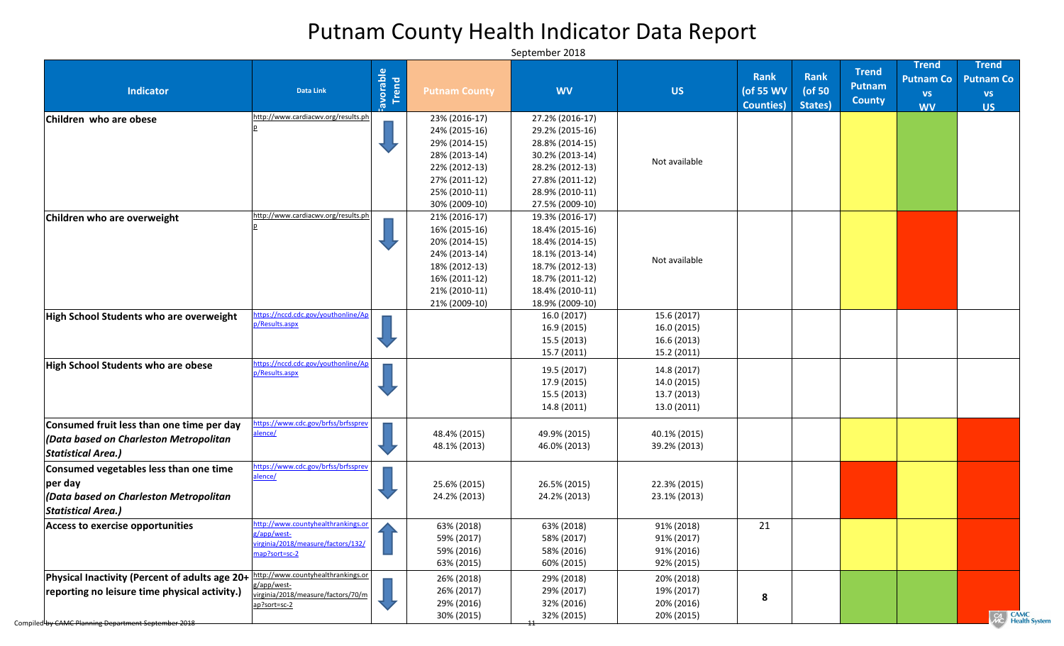| <b>Indicator</b>                                                                                                                | <b>Data Link</b>                                                                                         | <b>avorable</b><br>Trend | <b>Putnam County</b>                                                                                                                 | <b>WV</b>                                                                                                                                            | <b>US</b>                                                | <b>Rank</b><br>(of 55 WV<br><b>Counties</b> ) | <b>Rank</b><br>( $of 50$<br>States) | <b>Trend</b><br><b>Putnam</b><br><b>County</b> | <b>Trend</b><br><b>Putnam Co</b><br><b>VS</b><br><b>WV</b> | <b>Trend</b><br><b>Putnam Co</b><br><b>VS</b><br><b>US</b> |
|---------------------------------------------------------------------------------------------------------------------------------|----------------------------------------------------------------------------------------------------------|--------------------------|--------------------------------------------------------------------------------------------------------------------------------------|------------------------------------------------------------------------------------------------------------------------------------------------------|----------------------------------------------------------|-----------------------------------------------|-------------------------------------|------------------------------------------------|------------------------------------------------------------|------------------------------------------------------------|
| Children who are obese                                                                                                          | http://www.cardiacwv.org/results.ph                                                                      |                          | 23% (2016-17)<br>24% (2015-16)<br>29% (2014-15)<br>28% (2013-14)<br>22% (2012-13)                                                    | 27.2% (2016-17)<br>29.2% (2015-16)<br>28.8% (2014-15)<br>30.2% (2013-14)<br>28.2% (2012-13)                                                          | Not available                                            |                                               |                                     |                                                |                                                            |                                                            |
|                                                                                                                                 |                                                                                                          |                          | 27% (2011-12)<br>25% (2010-11)<br>30% (2009-10)                                                                                      | 27.8% (2011-12)<br>28.9% (2010-11)<br>27.5% (2009-10)                                                                                                |                                                          |                                               |                                     |                                                |                                                            |                                                            |
| Children who are overweight                                                                                                     | http://www.cardiacwv.org/results.ph                                                                      |                          | 21% (2016-17)<br>16% (2015-16)<br>20% (2014-15)<br>24% (2013-14)<br>18% (2012-13)<br>16% (2011-12)<br>21% (2010-11)<br>21% (2009-10) | 19.3% (2016-17)<br>18.4% (2015-16)<br>18.4% (2014-15)<br>18.1% (2013-14)<br>18.7% (2012-13)<br>18.7% (2011-12)<br>18.4% (2010-11)<br>18.9% (2009-10) | Not available                                            |                                               |                                     |                                                |                                                            |                                                            |
| <b>High School Students who are overweight</b>                                                                                  | https://nccd.cdc.gov/youthonline/Ap<br>p/Results.aspx                                                    |                          |                                                                                                                                      | 16.0 (2017)<br>16.9 (2015)<br>15.5 (2013)<br>15.7 (2011)                                                                                             | 15.6 (2017)<br>16.0 (2015)<br>16.6 (2013)<br>15.2 (2011) |                                               |                                     |                                                |                                                            |                                                            |
| <b>High School Students who are obese</b>                                                                                       | https://nccd.cdc.gov/youthonline/Ap<br>p/Results.aspx                                                    |                          |                                                                                                                                      | 19.5 (2017)<br>17.9 (2015)<br>15.5 (2013)<br>14.8 (2011)                                                                                             | 14.8 (2017)<br>14.0 (2015)<br>13.7 (2013)<br>13.0 (2011) |                                               |                                     |                                                |                                                            |                                                            |
| Consumed fruit less than one time per day<br>(Data based on Charleston Metropolitan<br><b>Statistical Area.)</b>                | https://www.cdc.gov/brfss/brfssprev<br>alence/                                                           |                          | 48.4% (2015)<br>48.1% (2013)                                                                                                         | 49.9% (2015)<br>46.0% (2013)                                                                                                                         | 40.1% (2015)<br>39.2% (2013)                             |                                               |                                     |                                                |                                                            |                                                            |
| Consumed vegetables less than one time<br>per day<br>(Data based on Charleston Metropolitan<br><b>Statistical Area.)</b>        | https://www.cdc.gov/brfss/brfssprev<br>alence/                                                           |                          | 25.6% (2015)<br>24.2% (2013)                                                                                                         | 26.5% (2015)<br>24.2% (2013)                                                                                                                         | 22.3% (2015)<br>23.1% (2013)                             |                                               |                                     |                                                |                                                            |                                                            |
| <b>Access to exercise opportunities</b>                                                                                         | http://www.countyhealthrankings.or<br>g/app/west-<br>virginia/2018/measure/factors/132/<br>map?sort=sc-2 |                          | 63% (2018)<br>59% (2017)<br>59% (2016)<br>63% (2015)                                                                                 | 63% (2018)<br>58% (2017)<br>58% (2016)<br>60% (2015)                                                                                                 | 91% (2018)<br>91% (2017)<br>91% (2016)<br>92% (2015)     | 21                                            |                                     |                                                |                                                            |                                                            |
| <b>Physical Inactivity (Percent of adults age 20+ <math>\frac{1}{2}</math></b><br>reporting no leisure time physical activity.) | http://www.countyhealthrankings.or<br>g/app/west-<br>virginia/2018/measure/factors/70/m<br>ap?sort=sc-2  |                          | 26% (2018)<br>26% (2017)<br>29% (2016)<br>30% (2015)                                                                                 | 29% (2018)<br>29% (2017)<br>32% (2016)<br>32% (2015)                                                                                                 | 20% (2018)<br>19% (2017)<br>20% (2016)<br>20% (2015)     | 8                                             |                                     |                                                |                                                            | CAMC<br>MC Health System                                   |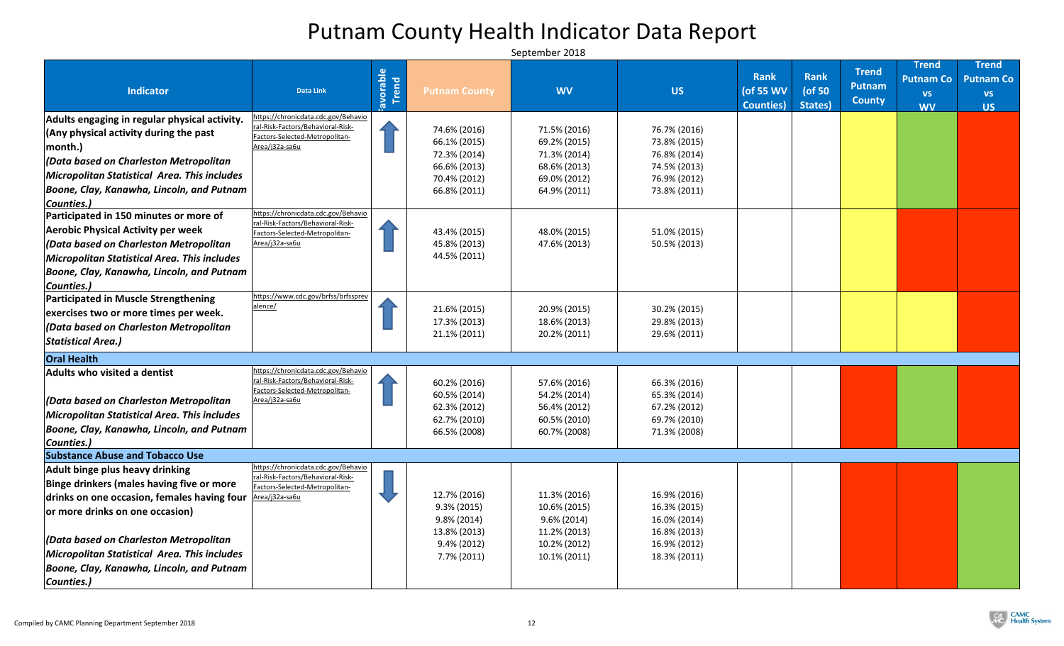| <b>Indicator</b>                                                            | <b>Data Link</b>                                                         | iavorable | <b>Putnam County</b> | <b>WV</b>      | <b>US</b>    | <b>Rank</b><br>(of 55 WV | Rank<br>( $of 50$ | <b>Trend</b><br><b>Putnam</b><br><b>County</b> | <b>Trend</b><br><b>Putnam Co</b><br><b>VS</b> | <b>Trend</b><br><b>Putnam Co</b><br><b>VS</b> |
|-----------------------------------------------------------------------------|--------------------------------------------------------------------------|-----------|----------------------|----------------|--------------|--------------------------|-------------------|------------------------------------------------|-----------------------------------------------|-----------------------------------------------|
|                                                                             | https://chronicdata.cdc.gov/Behavio                                      |           |                      |                |              | <b>Counties</b> )        | States)           |                                                | <b>WV</b>                                     | <b>US</b>                                     |
| Adults engaging in regular physical activity.                               | ral-Risk-Factors/Behavioral-Risk-                                        |           | 74.6% (2016)         | 71.5% (2016)   | 76.7% (2016) |                          |                   |                                                |                                               |                                               |
| $\vert$ (Any physical activity during the past                              | Factors-Selected-Metropolitan-                                           |           | 66.1% (2015)         | 69.2% (2015)   | 73.8% (2015) |                          |                   |                                                |                                               |                                               |
| $ $ month. $ $                                                              | Area/j32a-sa6u                                                           |           | 72.3% (2014)         | 71.3% (2014)   | 76.8% (2014) |                          |                   |                                                |                                               |                                               |
| $ $ (Data based on Charleston Metropolitan                                  |                                                                          |           | 66.6% (2013)         | 68.6% (2013)   | 74.5% (2013) |                          |                   |                                                |                                               |                                               |
| Micropolitan Statistical Area. This includes                                |                                                                          |           | 70.4% (2012)         | 69.0% (2012)   | 76.9% (2012) |                          |                   |                                                |                                               |                                               |
| Boone, Clay, Kanawha, Lincoln, and Putnam                                   |                                                                          |           | 66.8% (2011)         | 64.9% (2011)   | 73.8% (2011) |                          |                   |                                                |                                               |                                               |
| Counties.)                                                                  |                                                                          |           |                      |                |              |                          |                   |                                                |                                               |                                               |
| Participated in 150 minutes or more of                                      | https://chronicdata.cdc.gov/Behavio<br>ral-Risk-Factors/Behavioral-Risk- |           |                      |                |              |                          |                   |                                                |                                               |                                               |
| <b>Aerobic Physical Activity per week</b>                                   | Factors-Selected-Metropolitan-                                           |           | 43.4% (2015)         | 48.0% (2015)   | 51.0% (2015) |                          |                   |                                                |                                               |                                               |
| $ $ (Data based on Charleston Metropolitan                                  | Area/j32a-sa6u                                                           |           | 45.8% (2013)         | 47.6% (2013)   | 50.5% (2013) |                          |                   |                                                |                                               |                                               |
| <b>Micropolitan Statistical Area. This includes</b>                         |                                                                          |           | 44.5% (2011)         |                |              |                          |                   |                                                |                                               |                                               |
| Boone, Clay, Kanawha, Lincoln, and Putnam                                   |                                                                          |           |                      |                |              |                          |                   |                                                |                                               |                                               |
| Counties.)                                                                  |                                                                          |           |                      |                |              |                          |                   |                                                |                                               |                                               |
| <b>Participated in Muscle Strengthening</b>                                 | https://www.cdc.gov/brfss/brfssprev                                      |           |                      |                |              |                          |                   |                                                |                                               |                                               |
| exercises two or more times per week.                                       | alence/                                                                  |           | 21.6% (2015)         | 20.9% (2015)   | 30.2% (2015) |                          |                   |                                                |                                               |                                               |
| (Data based on Charleston Metropolitan                                      |                                                                          |           | 17.3% (2013)         | 18.6% (2013)   | 29.8% (2013) |                          |                   |                                                |                                               |                                               |
| Statistical Area.)                                                          |                                                                          |           | 21.1% (2011)         | 20.2% (2011)   | 29.6% (2011) |                          |                   |                                                |                                               |                                               |
| <b>Oral Health</b>                                                          |                                                                          |           |                      |                |              |                          |                   |                                                |                                               |                                               |
| Adults who visited a dentist                                                | https://chronicdata.cdc.gov/Behavio                                      |           |                      |                |              |                          |                   |                                                |                                               |                                               |
|                                                                             | ral-Risk-Factors/Behavioral-Risk-<br>Factors-Selected-Metropolitan-      |           | 60.2% (2016)         | 57.6% (2016)   | 66.3% (2016) |                          |                   |                                                |                                               |                                               |
| Data based on Charleston Metropolitan                                       | Area/j32a-sa6u                                                           |           | 60.5% (2014)         | 54.2% (2014)   | 65.3% (2014) |                          |                   |                                                |                                               |                                               |
| Micropolitan Statistical Area. This includes                                |                                                                          |           | 62.3% (2012)         | 56.4% (2012)   | 67.2% (2012) |                          |                   |                                                |                                               |                                               |
| Boone, Clay, Kanawha, Lincoln, and Putnam                                   |                                                                          |           | 62.7% (2010)         | 60.5% (2010)   | 69.7% (2010) |                          |                   |                                                |                                               |                                               |
| Counties.)                                                                  |                                                                          |           | 66.5% (2008)         | 60.7% (2008)   | 71.3% (2008) |                          |                   |                                                |                                               |                                               |
| <b>Substance Abuse and Tobacco Use</b>                                      |                                                                          |           |                      |                |              |                          |                   |                                                |                                               |                                               |
| Adult binge plus heavy drinking                                             | https://chronicdata.cdc.gov/Behavio                                      |           |                      |                |              |                          |                   |                                                |                                               |                                               |
| Binge drinkers (males having five or more                                   | ral-Risk-Factors/Behavioral-Risk-                                        |           |                      |                |              |                          |                   |                                                |                                               |                                               |
| drinks on one occasion, females having four $\frac{\text{Area}}{132a-5a6u}$ | Factors-Selected-Metropolitan-                                           |           | 12.7% (2016)         | 11.3% (2016)   | 16.9% (2016) |                          |                   |                                                |                                               |                                               |
| or more drinks on one occasion)                                             |                                                                          |           | $9.3\% (2015)$       | 10.6% (2015)   | 16.3% (2015) |                          |                   |                                                |                                               |                                               |
|                                                                             |                                                                          |           | $9.8\% (2014)$       | $9.6\% (2014)$ | 16.0% (2014) |                          |                   |                                                |                                               |                                               |
|                                                                             |                                                                          |           | 13.8% (2013)         | 11.2% (2013)   | 16.8% (2013) |                          |                   |                                                |                                               |                                               |
| $ $ (Data based on Charleston Metropolitan                                  |                                                                          |           | $9.4\% (2012)$       | 10.2% (2012)   | 16.9% (2012) |                          |                   |                                                |                                               |                                               |
| Micropolitan Statistical Area. This includes                                |                                                                          |           | 7.7% (2011)          | 10.1% (2011)   | 18.3% (2011) |                          |                   |                                                |                                               |                                               |
| Boone, Clay, Kanawha, Lincoln, and Putnam                                   |                                                                          |           |                      |                |              |                          |                   |                                                |                                               |                                               |
| Counties.)                                                                  |                                                                          |           |                      |                |              |                          |                   |                                                |                                               |                                               |

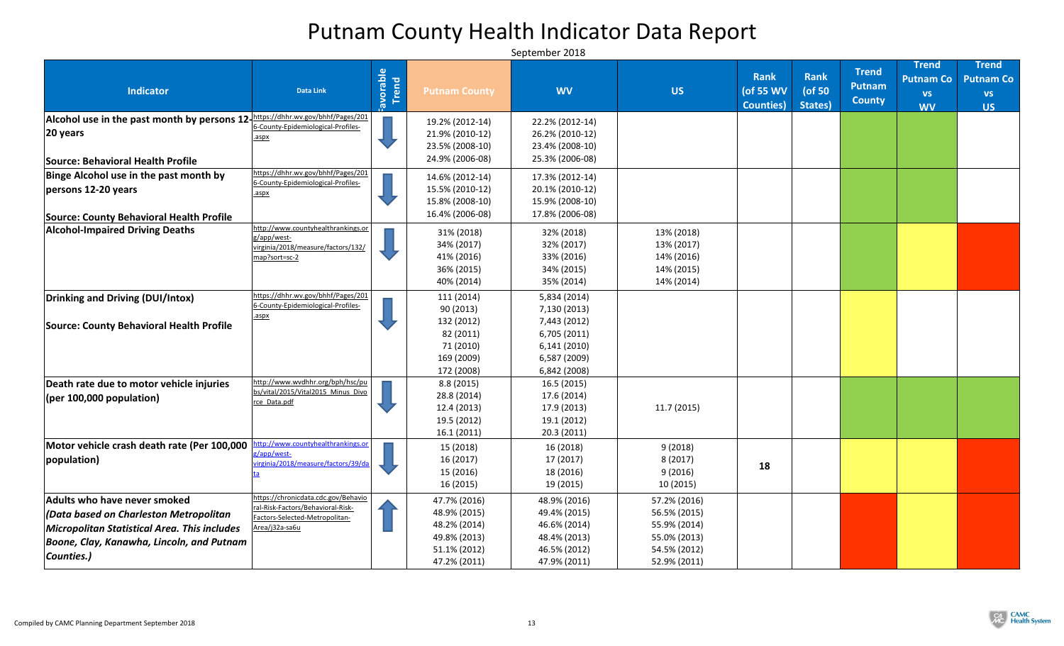| <b>Indicator</b>                                                                                                                                                                             | <b>Data Link</b>                                                                                                             | iavorable | <b>Putnam County</b>                                                                         | <b>WV</b>                                                                                                    | <b>US</b>                                                                                    | <b>Rank</b><br>(of 55 WV<br><b>Counties</b> ) | <b>Rank</b><br>( $of 50$<br>States) | <b>Trend</b><br><b>Putnam</b><br><b>County</b> | <b>Trend</b><br><b>Putnam Co</b><br><b>VS</b><br><b>WV</b> | <b>Trend</b><br><b>Putnam Co</b><br><b>VS</b><br><b>US</b> |
|----------------------------------------------------------------------------------------------------------------------------------------------------------------------------------------------|------------------------------------------------------------------------------------------------------------------------------|-----------|----------------------------------------------------------------------------------------------|--------------------------------------------------------------------------------------------------------------|----------------------------------------------------------------------------------------------|-----------------------------------------------|-------------------------------------|------------------------------------------------|------------------------------------------------------------|------------------------------------------------------------|
| Alcohol use in the past month by persons 12-https://dhhr.wv.gov/bhhf/Pages/201<br>20 years                                                                                                   | 6-County-Epidemiological-Profiles-<br>.aspx                                                                                  |           | 19.2% (2012-14)<br>21.9% (2010-12)<br>23.5% (2008-10)                                        | 22.2% (2012-14)<br>26.2% (2010-12)<br>23.4% (2008-10)                                                        |                                                                                              |                                               |                                     |                                                |                                                            |                                                            |
| Source: Behavioral Health Profile                                                                                                                                                            |                                                                                                                              |           | 24.9% (2006-08)                                                                              | 25.3% (2006-08)                                                                                              |                                                                                              |                                               |                                     |                                                |                                                            |                                                            |
| Binge Alcohol use in the past month by<br>persons 12-20 years<br><b>Source: County Behavioral Health Profile</b>                                                                             | https://dhhr.wv.gov/bhhf/Pages/201<br>6-County-Epidemiological-Profiles-<br>.aspx                                            |           | 14.6% (2012-14)<br>15.5% (2010-12)<br>15.8% (2008-10)<br>16.4% (2006-08)                     | 17.3% (2012-14)<br>20.1% (2010-12)<br>15.9% (2008-10)<br>17.8% (2006-08)                                     |                                                                                              |                                               |                                     |                                                |                                                            |                                                            |
| <b>Alcohol-Impaired Driving Deaths</b>                                                                                                                                                       | http://www.countyhealthrankings.or<br>g/app/west-<br>virginia/2018/measure/factors/132/<br>map?sort=sc-2                     |           | 31% (2018)<br>34% (2017)<br>41% (2016)<br>36% (2015)<br>40% (2014)                           | 32% (2018)<br>32% (2017)<br>33% (2016)<br>34% (2015)<br>35% (2014)                                           | 13% (2018)<br>13% (2017)<br>14% (2016)<br>14% (2015)<br>14% (2014)                           |                                               |                                     |                                                |                                                            |                                                            |
| Drinking and Driving (DUI/Intox)<br><b>Source: County Behavioral Health Profile</b>                                                                                                          | https://dhhr.wv.gov/bhhf/Pages/201<br>6-County-Epidemiological-Profiles-<br>.aspx                                            |           | 111 (2014)<br>90(2013)<br>132 (2012)<br>82 (2011)<br>71 (2010)<br>169 (2009)<br>172 (2008)   | 5,834 (2014)<br>7,130 (2013)<br>7,443 (2012)<br>6,705 (2011)<br>6,141 (2010)<br>6,587 (2009)<br>6,842 (2008) |                                                                                              |                                               |                                     |                                                |                                                            |                                                            |
| Death rate due to motor vehicle injuries<br>$ $ (per 100,000 population)                                                                                                                     | http://www.wvdhhr.org/bph/hsc/pu<br>bs/vital/2015/Vital2015_Minus_Divo<br>rce Data.pdf                                       |           | 8.8(2015)<br>28.8 (2014)<br>12.4 (2013)<br>19.5 (2012)<br>16.1(2011)                         | 16.5(2015)<br>17.6 (2014)<br>17.9 (2013)<br>19.1 (2012)<br>20.3(2011)                                        | 11.7 (2015)                                                                                  |                                               |                                     |                                                |                                                            |                                                            |
| Motor vehicle crash death rate (Per 100,000<br>population)                                                                                                                                   | ttp://www.countyhealthrankings.or<br>g/app/west-<br>virginia/2018/measure/factors/39/da                                      |           | 15 (2018)<br>16 (2017)<br>15 (2016)<br>16 (2015)                                             | 16 (2018)<br>17 (2017)<br>18 (2016)<br>19 (2015)                                                             | 9(2018)<br>8(2017)<br>9(2016)<br>10 (2015)                                                   | 18                                            |                                     |                                                |                                                            |                                                            |
| Adults who have never smoked<br>$ $ (Data based on Charleston Metropolitan<br><b>Micropolitan Statistical Area. This includes</b><br>Boone, Clay, Kanawha, Lincoln, and Putnam<br>Counties.) | https://chronicdata.cdc.gov/Behavio<br>ral-Risk-Factors/Behavioral-Risk-<br>Factors-Selected-Metropolitan-<br>Area/j32a-sa6u |           | 47.7% (2016)<br>48.9% (2015)<br>48.2% (2014)<br>49.8% (2013)<br>51.1% (2012)<br>47.2% (2011) | 48.9% (2016)<br>49.4% (2015)<br>46.6% (2014)<br>48.4% (2013)<br>46.5% (2012)<br>47.9% (2011)                 | 57.2% (2016)<br>56.5% (2015)<br>55.9% (2014)<br>55.0% (2013)<br>54.5% (2012)<br>52.9% (2011) |                                               |                                     |                                                |                                                            |                                                            |

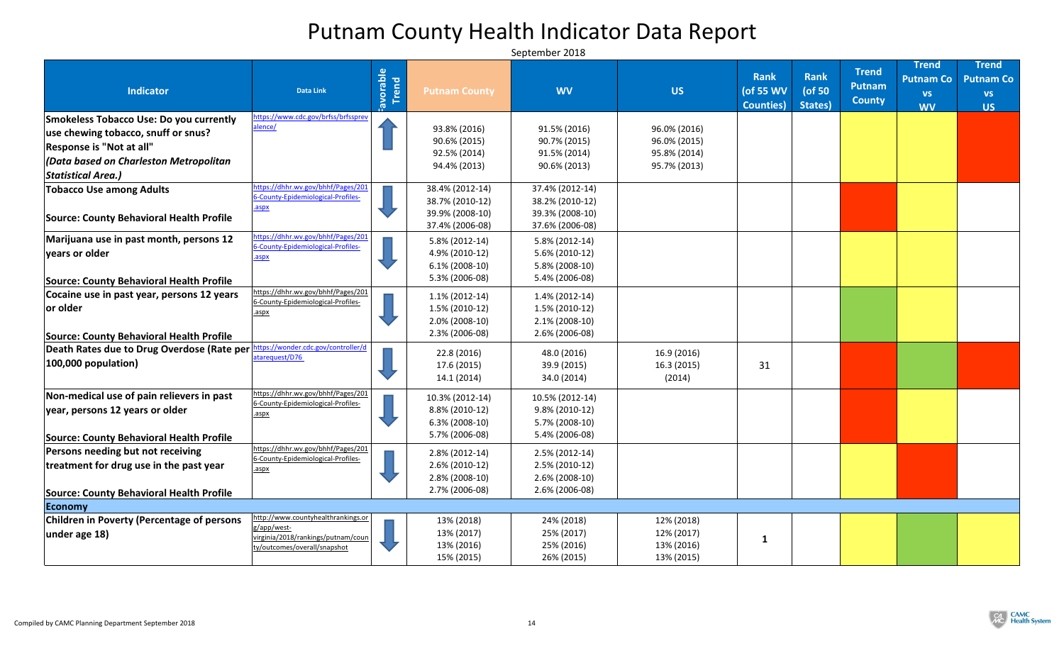| <b>Indicator</b>                                                                                          | <b>Data Link</b>                                                                                                        | <b>Norable</b><br>Trend | <b>Putnam County</b>                                                             | <b>WV</b>                                                                     | <b>US</b>                              | <b>Rank</b><br>(of 55 WV<br><b>Counties</b> ) | Rank<br>( $of 50$<br>States) | <b>Trend</b><br><b>Putnam</b><br><b>County</b> | <b>Trend</b><br><b>Putnam Co</b><br><b>VS</b><br><b>WV</b> | <b>Trend</b><br><b>Putnam Co</b><br><b>VS</b><br><b>US</b> |
|-----------------------------------------------------------------------------------------------------------|-------------------------------------------------------------------------------------------------------------------------|-------------------------|----------------------------------------------------------------------------------|-------------------------------------------------------------------------------|----------------------------------------|-----------------------------------------------|------------------------------|------------------------------------------------|------------------------------------------------------------|------------------------------------------------------------|
| <b>Smokeless Tobacco Use: Do you currently</b>                                                            | https://www.cdc.gov/brfss/brfssprev<br>alence/                                                                          |                         |                                                                                  |                                                                               |                                        |                                               |                              |                                                |                                                            |                                                            |
| use chewing tobacco, snuff or snus?                                                                       |                                                                                                                         |                         | 93.8% (2016)                                                                     | 91.5% (2016)                                                                  | 96.0% (2016)                           |                                               |                              |                                                |                                                            |                                                            |
| Response is "Not at all"                                                                                  |                                                                                                                         |                         | 90.6% (2015)<br>92.5% (2014)                                                     | 90.7% (2015)<br>91.5% (2014)                                                  | 96.0% (2015)<br>95.8% (2014)           |                                               |                              |                                                |                                                            |                                                            |
| $ $ (Data based on Charleston Metropolitan                                                                |                                                                                                                         |                         | 94.4% (2013)                                                                     | 90.6% (2013)                                                                  | 95.7% (2013)                           |                                               |                              |                                                |                                                            |                                                            |
| Statistical Area.)                                                                                        |                                                                                                                         |                         |                                                                                  |                                                                               |                                        |                                               |                              |                                                |                                                            |                                                            |
| <b>Tobacco Use among Adults</b><br><b>Source: County Behavioral Health Profile</b>                        | ttps://dhhr.wv.gov/bhhf/Pages/201<br>6-County-Epidemiological-Profiles-<br>aspx                                         |                         | 38.4% (2012-14)<br>38.7% (2010-12)<br>39.9% (2008-10)                            | 37.4% (2012-14)<br>38.2% (2010-12)<br>39.3% (2008-10)                         |                                        |                                               |                              |                                                |                                                            |                                                            |
|                                                                                                           |                                                                                                                         |                         | 37.4% (2006-08)                                                                  | 37.6% (2006-08)                                                               |                                        |                                               |                              |                                                |                                                            |                                                            |
| Marijuana use in past month, persons 12<br>vears or older                                                 | https://dhhr.wv.gov/bhhf/Pages/201<br>6-County-Epidemiological-Profiles-<br>aspx                                        |                         | 5.8% (2012-14)<br>4.9% (2010-12)<br>$6.1\%$ (2008-10)<br>5.3% (2006-08)          | $5.8\%$ (2012-14)<br>5.6% (2010-12)<br>5.8% (2008-10)<br>5.4% (2006-08)       |                                        |                                               |                              |                                                |                                                            |                                                            |
| <b>Source: County Behavioral Health Profile</b>                                                           | https://dhhr.wv.gov/bhhf/Pages/201                                                                                      |                         |                                                                                  |                                                                               |                                        |                                               |                              |                                                |                                                            |                                                            |
| Cocaine use in past year, persons 12 years<br>or older<br><b>Source: County Behavioral Health Profile</b> | 6-County-Epidemiological-Profiles-<br>.aspx                                                                             |                         | $1.1\%$ (2012-14)<br>$1.5\%$ (2010-12)<br>$2.0\%$ (2008-10)<br>$2.3\%$ (2006-08) | $1.4\%$ (2012-14)<br>$1.5\%$ (2010-12)<br>$2.1\% (2008-10)$<br>2.6% (2006-08) |                                        |                                               |                              |                                                |                                                            |                                                            |
| Death Rates due to Drug Overdose (Rate per<br>$ 100,000$ population)                                      | ttps://wonder.cdc.gov/controller/d<br>atarequest/D76                                                                    |                         | 22.8 (2016)<br>17.6 (2015)                                                       | 48.0 (2016)<br>39.9 (2015)                                                    | 16.9 (2016)<br>16.3(2015)              | 31                                            |                              |                                                |                                                            |                                                            |
|                                                                                                           |                                                                                                                         |                         | 14.1 (2014)                                                                      | 34.0 (2014)                                                                   | (2014)                                 |                                               |                              |                                                |                                                            |                                                            |
| Non-medical use of pain relievers in past                                                                 | https://dhhr.wv.gov/bhhf/Pages/201                                                                                      |                         | 10.3% (2012-14)                                                                  | 10.5% (2012-14)                                                               |                                        |                                               |                              |                                                |                                                            |                                                            |
| year, persons 12 years or older                                                                           | 6-County-Epidemiological-Profiles-<br>.aspx                                                                             |                         | 8.8% (2010-12)<br>$6.3\%$ (2008-10)<br>5.7% (2006-08)                            | $9.8\%$ (2010-12)<br>$5.7\%$ (2008-10)<br>5.4% (2006-08)                      |                                        |                                               |                              |                                                |                                                            |                                                            |
| <b>Source: County Behavioral Health Profile</b>                                                           | https://dhhr.wv.gov/bhhf/Pages/201                                                                                      |                         |                                                                                  |                                                                               |                                        |                                               |                              |                                                |                                                            |                                                            |
| <b>Persons needing but not receiving</b><br>treatment for drug use in the past year                       | 6-County-Epidemiological-Profiles-<br>.aspx                                                                             |                         | $2.8\%$ (2012-14)<br>$2.6\%$ (2010-12)<br>$2.8\%$ (2008-10)                      | $2.5\%$ (2012-14)<br>$2.5\% (2010-12)$<br>$2.6\%$ (2008-10)                   |                                        |                                               |                              |                                                |                                                            |                                                            |
| <b>Source: County Behavioral Health Profile</b>                                                           |                                                                                                                         |                         | 2.7% (2006-08)                                                                   | $2.6\%$ (2006-08)                                                             |                                        |                                               |                              |                                                |                                                            |                                                            |
| Economy                                                                                                   |                                                                                                                         |                         |                                                                                  |                                                                               |                                        |                                               |                              |                                                |                                                            |                                                            |
| <b>Children in Poverty (Percentage of persons</b><br>$ $ under age 18 $ $                                 | http://www.countyhealthrankings.or<br>g/app/west-<br>virginia/2018/rankings/putnam/coun<br>ty/outcomes/overall/snapshot |                         | 13% (2018)<br>13% (2017)<br>13% (2016)                                           | 24% (2018)<br>25% (2017)<br>25% (2016)                                        | 12% (2018)<br>12% (2017)<br>13% (2016) |                                               |                              |                                                |                                                            |                                                            |
|                                                                                                           |                                                                                                                         |                         | 15% (2015)                                                                       | 26% (2015)                                                                    | 13% (2015)                             |                                               |                              |                                                |                                                            |                                                            |

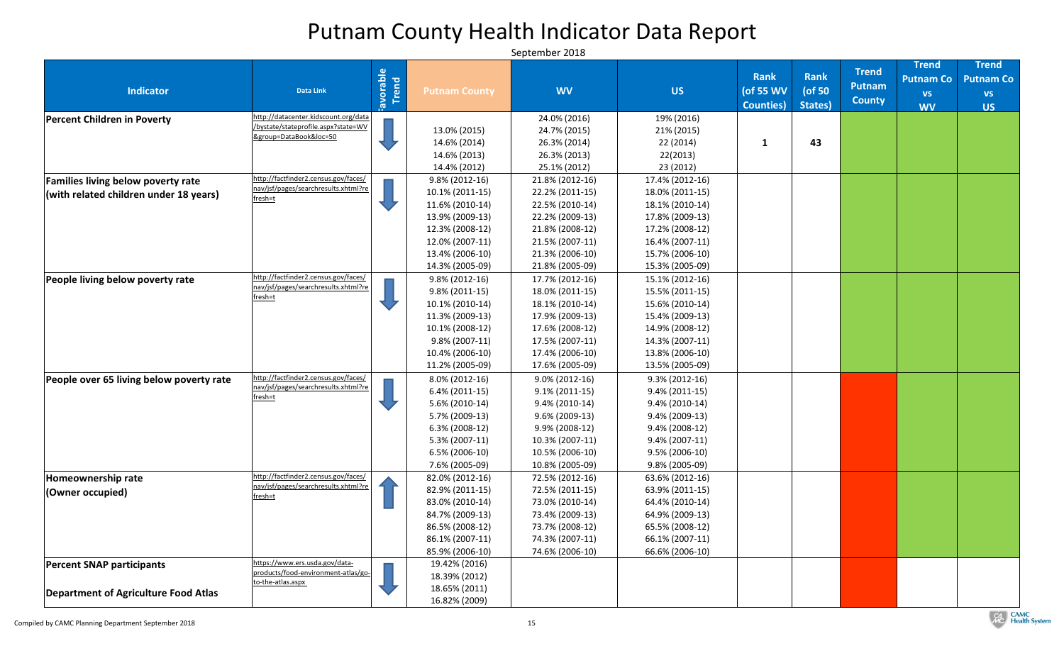| <b>Indicator</b>                           | <b>Data Link</b>                                              | iavorable | <b>Putnam County</b> | <b>WV</b>         | <b>US</b>         | <b>Rank</b><br>(of 55 WV<br><b>Counties</b> ) | <b>Rank</b><br>(of 50<br>States) | <b>Trend</b><br><b>Putnam</b><br><b>County</b> | <b>Trend</b><br><b>Putnam Co</b><br><b>VS</b><br><b>WV</b> | <b>Trend</b><br><b>Putnam Co</b><br><b>VS</b><br><b>US</b> |
|--------------------------------------------|---------------------------------------------------------------|-----------|----------------------|-------------------|-------------------|-----------------------------------------------|----------------------------------|------------------------------------------------|------------------------------------------------------------|------------------------------------------------------------|
| <b>Percent Children in Poverty</b>         | http://datacenter.kidscount.org/data                          |           |                      | 24.0% (2016)      | 19% (2016)        |                                               |                                  |                                                |                                                            |                                                            |
|                                            | /bystate/stateprofile.aspx?state=WV<br>&group=DataBook&loc=50 |           | 13.0% (2015)         | 24.7% (2015)      | 21% (2015)        |                                               |                                  |                                                |                                                            |                                                            |
|                                            |                                                               |           | 14.6% (2014)         | 26.3% (2014)      | 22(2014)          |                                               | 43                               |                                                |                                                            |                                                            |
|                                            |                                                               |           | 14.6% (2013)         | 26.3% (2013)      | 22(2013)          |                                               |                                  |                                                |                                                            |                                                            |
|                                            |                                                               |           | 14.4% (2012)         | 25.1% (2012)      | 23 (2012)         |                                               |                                  |                                                |                                                            |                                                            |
| <b>Families living below poverty rate</b>  | http://factfinder2.census.gov/faces/                          |           | $9.8\%$ (2012-16)    | 21.8% (2012-16)   | 17.4% (2012-16)   |                                               |                                  |                                                |                                                            |                                                            |
| $ $ (with related children under 18 years) | nav/jsf/pages/searchresults.xhtml?re<br>fresh=t               |           | $10.1\% (2011-15)$   | 22.2% (2011-15)   | 18.0% (2011-15)   |                                               |                                  |                                                |                                                            |                                                            |
|                                            |                                                               |           | 11.6% (2010-14)      | 22.5% (2010-14)   | 18.1% (2010-14)   |                                               |                                  |                                                |                                                            |                                                            |
|                                            |                                                               |           | 13.9% (2009-13)      | 22.2% (2009-13)   | 17.8% (2009-13)   |                                               |                                  |                                                |                                                            |                                                            |
|                                            |                                                               |           | 12.3% (2008-12)      | 21.8% (2008-12)   | 17.2% (2008-12)   |                                               |                                  |                                                |                                                            |                                                            |
|                                            |                                                               |           | 12.0% (2007-11)      | 21.5% (2007-11)   | 16.4% (2007-11)   |                                               |                                  |                                                |                                                            |                                                            |
|                                            |                                                               |           | 13.4% (2006-10)      | 21.3% (2006-10)   | 15.7% (2006-10)   |                                               |                                  |                                                |                                                            |                                                            |
|                                            |                                                               |           | 14.3% (2005-09)      | 21.8% (2005-09)   | 15.3% (2005-09)   |                                               |                                  |                                                |                                                            |                                                            |
| People living below poverty rate           | http://factfinder2.census.gov/faces/                          |           | $9.8\%$ (2012-16)    | 17.7% (2012-16)   | 15.1% (2012-16)   |                                               |                                  |                                                |                                                            |                                                            |
|                                            | nav/jsf/pages/searchresults.xhtml?re                          |           | $9.8\%$ (2011-15)    | 18.0% (2011-15)   | 15.5% (2011-15)   |                                               |                                  |                                                |                                                            |                                                            |
|                                            | fresh=t                                                       |           | 10.1% (2010-14)      | 18.1% (2010-14)   | 15.6% (2010-14)   |                                               |                                  |                                                |                                                            |                                                            |
|                                            |                                                               |           | 11.3% (2009-13)      | 17.9% (2009-13)   | 15.4% (2009-13)   |                                               |                                  |                                                |                                                            |                                                            |
|                                            |                                                               |           | 10.1% (2008-12)      | 17.6% (2008-12)   | 14.9% (2008-12)   |                                               |                                  |                                                |                                                            |                                                            |
|                                            |                                                               |           | $9.8\%$ (2007-11)    | 17.5% (2007-11)   | 14.3% (2007-11)   |                                               |                                  |                                                |                                                            |                                                            |
|                                            |                                                               |           | 10.4% (2006-10)      | 17.4% (2006-10)   | 13.8% (2006-10)   |                                               |                                  |                                                |                                                            |                                                            |
|                                            |                                                               |           | 11.2% (2005-09)      | 17.6% (2005-09)   | 13.5% (2005-09)   |                                               |                                  |                                                |                                                            |                                                            |
| People over 65 living below poverty rate   | http://factfinder2.census.gov/faces/                          |           | $8.0\%$ (2012-16)    | $9.0\%$ (2012-16) | $9.3\% (2012-16)$ |                                               |                                  |                                                |                                                            |                                                            |
|                                            | nav/jsf/pages/searchresults.xhtml?re                          |           | $6.4\%$ (2011-15)    | $9.1\% (2011-15)$ | $9.4\% (2011-15)$ |                                               |                                  |                                                |                                                            |                                                            |
|                                            | fresh=t                                                       |           | $5.6\%$ (2010-14)    | $9.4\%$ (2010-14) | $9.4\% (2010-14)$ |                                               |                                  |                                                |                                                            |                                                            |
|                                            |                                                               |           | 5.7% (2009-13)       | $9.6\%$ (2009-13) | $9.4\%$ (2009-13) |                                               |                                  |                                                |                                                            |                                                            |
|                                            |                                                               |           | $6.3\%$ (2008-12)    | $9.9\%$ (2008-12) | $9.4\% (2008-12)$ |                                               |                                  |                                                |                                                            |                                                            |
|                                            |                                                               |           | 5.3% (2007-11)       | 10.3% (2007-11)   | $9.4\%$ (2007-11) |                                               |                                  |                                                |                                                            |                                                            |
|                                            |                                                               |           | $6.5\%$ (2006-10)    | 10.5% (2006-10)   | $9.5\%$ (2006-10) |                                               |                                  |                                                |                                                            |                                                            |
|                                            |                                                               |           | 7.6% (2005-09)       | 10.8% (2005-09)   | 9.8% (2005-09)    |                                               |                                  |                                                |                                                            |                                                            |
| Homeownership rate                         | http://factfinder2.census.gov/faces/                          |           | 82.0% (2012-16)      | 72.5% (2012-16)   | 63.6% (2012-16)   |                                               |                                  |                                                |                                                            |                                                            |
| (Owner occupied)                           | nav/jsf/pages/searchresults.xhtml?re                          |           | 82.9% (2011-15)      | 72.5% (2011-15)   | 63.9% (2011-15)   |                                               |                                  |                                                |                                                            |                                                            |
|                                            | fresh=t                                                       |           | 83.0% (2010-14)      | 73.0% (2010-14)   | 64.4% (2010-14)   |                                               |                                  |                                                |                                                            |                                                            |
|                                            |                                                               |           | 84.7% (2009-13)      | 73.4% (2009-13)   | 64.9% (2009-13)   |                                               |                                  |                                                |                                                            |                                                            |
|                                            |                                                               |           | 86.5% (2008-12)      | 73.7% (2008-12)   | 65.5% (2008-12)   |                                               |                                  |                                                |                                                            |                                                            |
|                                            |                                                               |           | 86.1% (2007-11)      | 74.3% (2007-11)   | 66.1% (2007-11)   |                                               |                                  |                                                |                                                            |                                                            |
|                                            |                                                               |           | 85.9% (2006-10)      | 74.6% (2006-10)   | 66.6% (2006-10)   |                                               |                                  |                                                |                                                            |                                                            |
| <b>Percent SNAP participants</b>           | https://www.ers.usda.gov/data-                                |           | 19.42% (2016)        |                   |                   |                                               |                                  |                                                |                                                            |                                                            |
|                                            | products/food-environment-atlas/go-                           |           | 18.39% (2012)        |                   |                   |                                               |                                  |                                                |                                                            |                                                            |
| Department of Agriculture Food Atlas       | to-the-atlas.aspx                                             |           | 18.65% (2011)        |                   |                   |                                               |                                  |                                                |                                                            |                                                            |
|                                            |                                                               |           | 16.82% (2009)        |                   |                   |                                               |                                  |                                                |                                                            |                                                            |

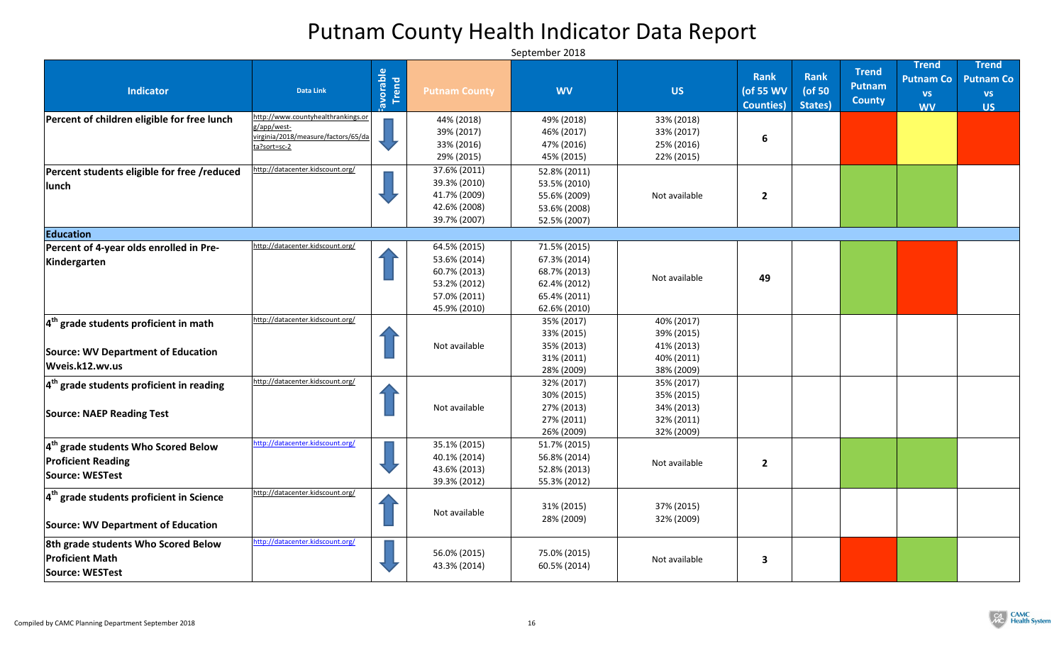| <b>Indicator</b>                                                                        | <b>Data Link</b>                                  | Favorable | <b>Putnam County</b> | <b>WV</b>                | <b>US</b>                | <b>Rank</b><br>(of 55 WV<br><b>Counties</b> ) | Rank<br>(of 50<br>States) | <b>Trend</b><br><b>Putnam</b><br><b>County</b> | <b>Trend</b><br><b>Putnam Co</b><br><b>VS</b><br><b>WV</b> | <b>Trend</b><br><b>Putnam Co</b><br><b>VS</b><br><b>US</b> |
|-----------------------------------------------------------------------------------------|---------------------------------------------------|-----------|----------------------|--------------------------|--------------------------|-----------------------------------------------|---------------------------|------------------------------------------------|------------------------------------------------------------|------------------------------------------------------------|
| Percent of children eligible for free lunch                                             | http://www.countyhealthrankings.or<br>g/app/west- |           | 44% (2018)           | 49% (2018)               | 33% (2018)               |                                               |                           |                                                |                                                            |                                                            |
|                                                                                         | virginia/2018/measure/factors/65/da               |           | 39% (2017)           | 46% (2017)               | 33% (2017)               | 6                                             |                           |                                                |                                                            |                                                            |
|                                                                                         | ta?sort=sc-2                                      |           | 33% (2016)           | 47% (2016)               | 25% (2016)               |                                               |                           |                                                |                                                            |                                                            |
|                                                                                         |                                                   |           | 29% (2015)           | 45% (2015)               | 22% (2015)               |                                               |                           |                                                |                                                            |                                                            |
| Percent students eligible for free /reduced                                             | http://datacenter.kidscount.org/                  |           | 37.6% (2011)         | 52.8% (2011)             |                          |                                               |                           |                                                |                                                            |                                                            |
| lunch                                                                                   |                                                   |           | 39.3% (2010)         | 53.5% (2010)             |                          |                                               |                           |                                                |                                                            |                                                            |
|                                                                                         |                                                   |           | 41.7% (2009)         | 55.6% (2009)             | Not available            | $\overline{2}$                                |                           |                                                |                                                            |                                                            |
|                                                                                         |                                                   |           | 42.6% (2008)         | 53.6% (2008)             |                          |                                               |                           |                                                |                                                            |                                                            |
|                                                                                         |                                                   |           | 39.7% (2007)         | 52.5% (2007)             |                          |                                               |                           |                                                |                                                            |                                                            |
| Education                                                                               |                                                   |           |                      |                          |                          |                                               |                           |                                                |                                                            |                                                            |
| Percent of 4-year olds enrolled in Pre-                                                 | http://datacenter.kidscount.org/                  |           | 64.5% (2015)         | 71.5% (2015)             |                          |                                               |                           |                                                |                                                            |                                                            |
| Kindergarten                                                                            |                                                   |           | 53.6% (2014)         | 67.3% (2014)             |                          |                                               |                           |                                                |                                                            |                                                            |
|                                                                                         |                                                   |           | 60.7% (2013)         | 68.7% (2013)             |                          |                                               |                           |                                                |                                                            |                                                            |
|                                                                                         |                                                   |           | 53.2% (2012)         | 62.4% (2012)             | Not available            | 49                                            |                           |                                                |                                                            |                                                            |
|                                                                                         |                                                   |           | 57.0% (2011)         | 65.4% (2011)             |                          |                                               |                           |                                                |                                                            |                                                            |
|                                                                                         |                                                   |           | 45.9% (2010)         | 62.6% (2010)             |                          |                                               |                           |                                                |                                                            |                                                            |
| $4th$ grade students proficient in math                                                 | http://datacenter.kidscount.org/                  |           |                      | 35% (2017)               | 40% (2017)               |                                               |                           |                                                |                                                            |                                                            |
|                                                                                         |                                                   |           |                      | 33% (2015)               | 39% (2015)               |                                               |                           |                                                |                                                            |                                                            |
| <b>Source: WV Department of Education</b>                                               |                                                   |           | Not available        | 35% (2013)               | 41% (2013)               |                                               |                           |                                                |                                                            |                                                            |
|                                                                                         |                                                   |           |                      | 31% (2011)               | 40% (2011)               |                                               |                           |                                                |                                                            |                                                            |
| Wveis.k12.wv.us                                                                         |                                                   |           |                      | 28% (2009)               | 38% (2009)               |                                               |                           |                                                |                                                            |                                                            |
| $4th$ grade students proficient in reading                                              | http://datacenter.kidscount.org/                  |           |                      | 32% (2017)               | 35% (2017)               |                                               |                           |                                                |                                                            |                                                            |
|                                                                                         |                                                   |           |                      | 30% (2015)               | 35% (2015)               |                                               |                           |                                                |                                                            |                                                            |
| <b>Source: NAEP Reading Test</b>                                                        |                                                   |           | Not available        | 27% (2013)               | 34% (2013)               |                                               |                           |                                                |                                                            |                                                            |
|                                                                                         |                                                   |           |                      | 27% (2011)               | 32% (2011)               |                                               |                           |                                                |                                                            |                                                            |
|                                                                                         |                                                   |           |                      | 26% (2009)               | 32% (2009)               |                                               |                           |                                                |                                                            |                                                            |
| $4th$ grade students Who Scored Below                                                   | http://datacenter.kidscount.org/                  |           | 35.1% (2015)         | 51.7% (2015)             |                          |                                               |                           |                                                |                                                            |                                                            |
| <b>Proficient Reading</b>                                                               |                                                   |           | 40.1% (2014)         | 56.8% (2014)             | Not available            | $\overline{2}$                                |                           |                                                |                                                            |                                                            |
| Source: WESTest                                                                         |                                                   |           | 43.6% (2013)         | 52.8% (2013)             |                          |                                               |                           |                                                |                                                            |                                                            |
|                                                                                         |                                                   |           | 39.3% (2012)         | 55.3% (2012)             |                          |                                               |                           |                                                |                                                            |                                                            |
| $4th$ grade students proficient in Science<br><b>Source: WV Department of Education</b> | http://datacenter.kidscount.org/                  |           | Not available        | 31% (2015)<br>28% (2009) | 37% (2015)<br>32% (2009) |                                               |                           |                                                |                                                            |                                                            |
| 8th grade students Who Scored Below                                                     | http://datacenter.kidscount.org/                  |           |                      |                          |                          |                                               |                           |                                                |                                                            |                                                            |
|                                                                                         |                                                   |           | 56.0% (2015)         | 75.0% (2015)             |                          |                                               |                           |                                                |                                                            |                                                            |
| <b>Proficient Math</b>                                                                  |                                                   |           | 43.3% (2014)         | 60.5% (2014)             | Not available            | 3                                             |                           |                                                |                                                            |                                                            |
| Source: WESTest                                                                         |                                                   |           |                      |                          |                          |                                               |                           |                                                |                                                            |                                                            |

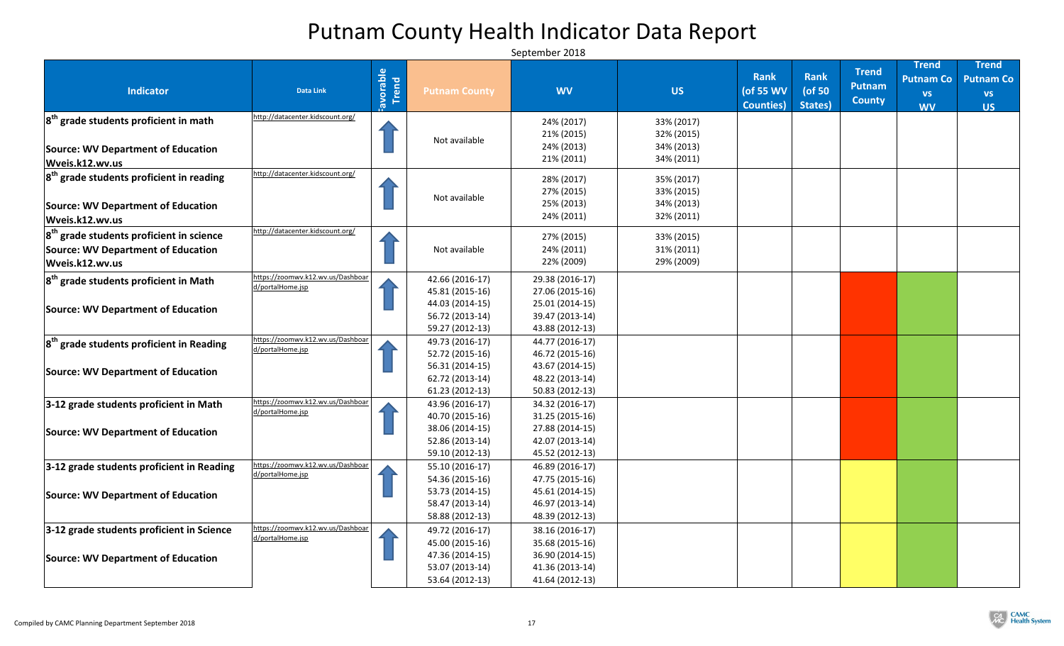|                                                |                                   |           |                                    |                                    |            |                   |           | <b>Trend</b>  | <b>Trend</b>     | <b>Trend</b>     |
|------------------------------------------------|-----------------------------------|-----------|------------------------------------|------------------------------------|------------|-------------------|-----------|---------------|------------------|------------------|
|                                                |                                   | Favorable |                                    |                                    |            | Rank              | Rank      |               | <b>Putnam Co</b> | <b>Putnam Co</b> |
| <b>Indicator</b>                               | <b>Data Link</b>                  |           | <b>Putnam County</b>               | <b>WV</b>                          | <b>US</b>  | (of 55 WV         | ( $of 50$ | <b>Putnam</b> | <b>VS</b>        | <b>VS</b>        |
|                                                |                                   |           |                                    |                                    |            | <b>Counties</b> ) | States)   | <b>County</b> | <b>WV</b>        | <b>US</b>        |
| $ 8^{th}$ grade students proficient in math    | http://datacenter.kidscount.org/  |           |                                    | 24% (2017)                         | 33% (2017) |                   |           |               |                  |                  |
|                                                |                                   |           |                                    | 21% (2015)                         | 32% (2015) |                   |           |               |                  |                  |
| Source: WV Department of Education             |                                   |           | Not available                      | 24% (2013)                         | 34% (2013) |                   |           |               |                  |                  |
| Wveis.k12.wv.us                                |                                   |           |                                    | 21% (2011)                         | 34% (2011) |                   |           |               |                  |                  |
|                                                | http://datacenter.kidscount.org/  |           |                                    |                                    |            |                   |           |               |                  |                  |
| $ 8th$ grade students proficient in reading    |                                   |           |                                    | 28% (2017)                         | 35% (2017) |                   |           |               |                  |                  |
|                                                |                                   |           | Not available                      | 27% (2015)                         | 33% (2015) |                   |           |               |                  |                  |
| <b>Source: WV Department of Education</b>      |                                   |           |                                    | 25% (2013)                         | 34% (2013) |                   |           |               |                  |                  |
| Wveis.k12.wv.us                                |                                   |           |                                    | 24% (2011)                         | 32% (2011) |                   |           |               |                  |                  |
| $ 8^{th}$ grade students proficient in science | http://datacenter.kidscount.org/  |           |                                    | 27% (2015)                         | 33% (2015) |                   |           |               |                  |                  |
| <b>Source: WV Department of Education</b>      |                                   |           | Not available                      | 24% (2011)                         | 31% (2011) |                   |           |               |                  |                  |
| Wveis.k12.wv.us                                |                                   |           |                                    | 22% (2009)                         | 29% (2009) |                   |           |               |                  |                  |
|                                                | https://zoomwv.k12.wv.us/Dashboar |           |                                    |                                    |            |                   |           |               |                  |                  |
| $ 8th$ grade students proficient in Math       | d/portalHome.jsp                  |           | 42.66 (2016-17)<br>45.81 (2015-16) | 29.38 (2016-17)<br>27.06 (2015-16) |            |                   |           |               |                  |                  |
|                                                |                                   |           | 44.03 (2014-15)                    | 25.01 (2014-15)                    |            |                   |           |               |                  |                  |
| Source: WV Department of Education             |                                   |           | 56.72 (2013-14)                    | 39.47 (2013-14)                    |            |                   |           |               |                  |                  |
|                                                |                                   |           | 59.27 (2012-13)                    | 43.88 (2012-13)                    |            |                   |           |               |                  |                  |
|                                                | https://zoomwv.k12.wv.us/Dashboar |           | 49.73 (2016-17)                    | 44.77 (2016-17)                    |            |                   |           |               |                  |                  |
| $ 8th$ grade students proficient in Reading    | d/portalHome.jsp                  |           | 52.72 (2015-16)                    | 46.72 (2015-16)                    |            |                   |           |               |                  |                  |
|                                                |                                   |           | 56.31 (2014-15)                    | 43.67 (2014-15)                    |            |                   |           |               |                  |                  |
| Source: WV Department of Education             |                                   |           | 62.72 (2013-14)                    | 48.22 (2013-14)                    |            |                   |           |               |                  |                  |
|                                                |                                   |           | $61.23(2012-13)$                   | 50.83 (2012-13)                    |            |                   |           |               |                  |                  |
| 3-12 grade students proficient in Math         | https://zoomwv.k12.wv.us/Dashboar |           | 43.96 (2016-17)                    | 34.32 (2016-17)                    |            |                   |           |               |                  |                  |
|                                                | d/portalHome.jsp                  |           | 40.70 (2015-16)                    | 31.25 (2015-16)                    |            |                   |           |               |                  |                  |
|                                                |                                   |           | 38.06 (2014-15)                    | 27.88 (2014-15)                    |            |                   |           |               |                  |                  |
| Source: WV Department of Education             |                                   |           | 52.86 (2013-14)                    | 42.07 (2013-14)                    |            |                   |           |               |                  |                  |
|                                                |                                   |           | 59.10 (2012-13)                    | 45.52 (2012-13)                    |            |                   |           |               |                  |                  |
| 3-12 grade students proficient in Reading      | https://zoomwv.k12.wv.us/Dashboar |           | 55.10 (2016-17)                    | 46.89 (2016-17)                    |            |                   |           |               |                  |                  |
|                                                | d/portalHome.jsp                  |           | 54.36 (2015-16)                    | 47.75 (2015-16)                    |            |                   |           |               |                  |                  |
| Source: WV Department of Education             |                                   |           | 53.73 (2014-15)                    | 45.61 (2014-15)                    |            |                   |           |               |                  |                  |
|                                                |                                   |           | 58.47 (2013-14)                    | 46.97 (2013-14)                    |            |                   |           |               |                  |                  |
|                                                |                                   |           | 58.88 (2012-13)                    | 48.39 (2012-13)                    |            |                   |           |               |                  |                  |
| 3-12 grade students proficient in Science      | https://zoomwv.k12.wv.us/Dashboar |           | 49.72 (2016-17)                    | 38.16 (2016-17)                    |            |                   |           |               |                  |                  |
|                                                | d/portalHome.jsp                  |           | 45.00 (2015-16)                    | 35.68 (2015-16)                    |            |                   |           |               |                  |                  |
| Source: WV Department of Education             |                                   |           | 47.36 (2014-15)                    | 36.90 (2014-15)                    |            |                   |           |               |                  |                  |
|                                                |                                   |           | 53.07 (2013-14)                    | 41.36 (2013-14)                    |            |                   |           |               |                  |                  |
|                                                |                                   |           | 53.64 (2012-13)                    | 41.64 (2012-13)                    |            |                   |           |               |                  |                  |

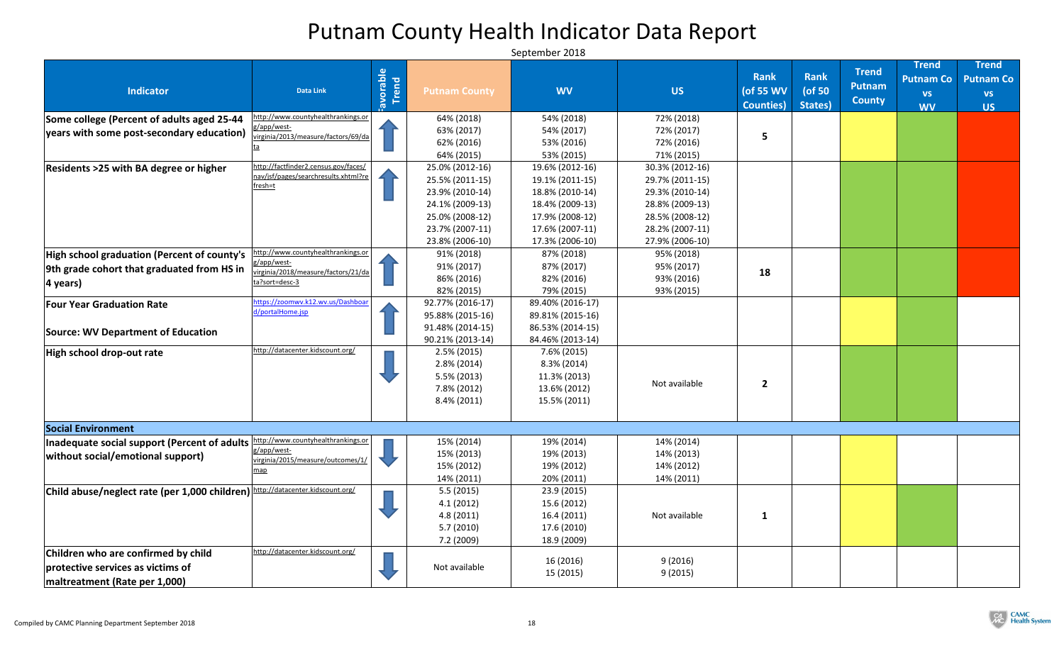| <b>Indicator</b>                                                                                             | <b>Data Link</b>                                                             | <b>Experience</b><br>Trend | <b>Putnam County</b> | <b>WV</b>        | <b>US</b>       | <b>Rank</b><br>(of 55 WV | <b>Rank</b><br>( $of 50$ | <b>Trend</b><br><b>Putnam</b> | <b>Trend</b><br><b>Putnam Co</b><br><b>VS</b> | <b>Trend</b><br><b>Putnam Co</b><br><b>VS</b> |
|--------------------------------------------------------------------------------------------------------------|------------------------------------------------------------------------------|----------------------------|----------------------|------------------|-----------------|--------------------------|--------------------------|-------------------------------|-----------------------------------------------|-----------------------------------------------|
|                                                                                                              |                                                                              |                            |                      |                  |                 | <b>Counties</b> )        | States)                  | <b>County</b>                 | <b>WV</b>                                     | <b>US</b>                                     |
| Some college (Percent of adults aged 25-44                                                                   | http://www.countyhealthrankings.or                                           |                            | 64% (2018)           | 54% (2018)       | 72% (2018)      |                          |                          |                               |                                               |                                               |
| $ years$ with some post-secondary education) $ {\tilde{\chi}_{\text{irrginia/2013/measure/factors/69/da}} }$ | g/app/west-                                                                  |                            | 63% (2017)           | 54% (2017)       | 72% (2017)      | 5                        |                          |                               |                                               |                                               |
|                                                                                                              |                                                                              |                            | 62% (2016)           | 53% (2016)       | 72% (2016)      |                          |                          |                               |                                               |                                               |
|                                                                                                              |                                                                              |                            | 64% (2015)           | 53% (2015)       | 71% (2015)      |                          |                          |                               |                                               |                                               |
| <b>Residents &gt;25 with BA degree or higher</b>                                                             | http://factfinder2.census.gov/faces/<br>nav/jsf/pages/searchresults.xhtml?re |                            | 25.0% (2012-16)      | 19.6% (2012-16)  | 30.3% (2012-16) |                          |                          |                               |                                               |                                               |
|                                                                                                              | fresh=t                                                                      |                            | 25.5% (2011-15)      | 19.1% (2011-15)  | 29.7% (2011-15) |                          |                          |                               |                                               |                                               |
|                                                                                                              |                                                                              |                            | 23.9% (2010-14)      | 18.8% (2010-14)  | 29.3% (2010-14) |                          |                          |                               |                                               |                                               |
|                                                                                                              |                                                                              |                            | 24.1% (2009-13)      | 18.4% (2009-13)  | 28.8% (2009-13) |                          |                          |                               |                                               |                                               |
|                                                                                                              |                                                                              |                            | 25.0% (2008-12)      | 17.9% (2008-12)  | 28.5% (2008-12) |                          |                          |                               |                                               |                                               |
|                                                                                                              |                                                                              |                            | 23.7% (2007-11)      | 17.6% (2007-11)  | 28.2% (2007-11) |                          |                          |                               |                                               |                                               |
|                                                                                                              |                                                                              |                            | 23.8% (2006-10)      | 17.3% (2006-10)  | 27.9% (2006-10) |                          |                          |                               |                                               |                                               |
| High school graduation (Percent of county's                                                                  | http://www.countyhealthrankings.or                                           |                            | 91% (2018)           | 87% (2018)       | 95% (2018)      |                          |                          |                               |                                               |                                               |
| 9th grade cohort that graduated from HS in                                                                   | g/app/west-<br>irginia/2018/measure/factors/21/da                            |                            | 91% (2017)           | 87% (2017)       | 95% (2017)      | 18                       |                          |                               |                                               |                                               |
| 4 years)                                                                                                     | ta?sort=desc-3                                                               |                            | 86% (2016)           | 82% (2016)       | 93% (2016)      |                          |                          |                               |                                               |                                               |
|                                                                                                              |                                                                              |                            | 82% (2015)           | 79% (2015)       | 93% (2015)      |                          |                          |                               |                                               |                                               |
| <b>Four Year Graduation Rate</b>                                                                             | https://zoomwv.k12.wv.us/Dashboar                                            |                            | 92.77% (2016-17)     | 89.40% (2016-17) |                 |                          |                          |                               |                                               |                                               |
|                                                                                                              | d/portalHome.jsp                                                             |                            | 95.88% (2015-16)     | 89.81% (2015-16) |                 |                          |                          |                               |                                               |                                               |
| Source: WV Department of Education                                                                           |                                                                              |                            | 91.48% (2014-15)     | 86.53% (2014-15) |                 |                          |                          |                               |                                               |                                               |
|                                                                                                              |                                                                              |                            | 90.21% (2013-14)     | 84.46% (2013-14) |                 |                          |                          |                               |                                               |                                               |
| High school drop-out rate                                                                                    | http://datacenter.kidscount.org/                                             |                            | $2.5\% (2015)$       | 7.6% (2015)      |                 |                          |                          |                               |                                               |                                               |
|                                                                                                              |                                                                              |                            | $2.8\% (2014)$       | $8.3\%$ (2014)   |                 |                          |                          |                               |                                               |                                               |
|                                                                                                              |                                                                              |                            | $5.5\%$ (2013)       | 11.3% (2013)     |                 |                          |                          |                               |                                               |                                               |
|                                                                                                              |                                                                              |                            | 7.8% (2012)          | 13.6% (2012)     | Not available   | $\overline{2}$           |                          |                               |                                               |                                               |
|                                                                                                              |                                                                              |                            | $8.4\% (2011)$       | 15.5% (2011)     |                 |                          |                          |                               |                                               |                                               |
|                                                                                                              |                                                                              |                            |                      |                  |                 |                          |                          |                               |                                               |                                               |
| <b>Social Environment</b>                                                                                    |                                                                              |                            |                      |                  |                 |                          |                          |                               |                                               |                                               |
| Inadequate social support (Percent of adults http://www.countyhealthrankings.or                              |                                                                              |                            | 15% (2014)           | 19% (2014)       | 14% (2014)      |                          |                          |                               |                                               |                                               |
| without social/emotional support)                                                                            | g/app/west-                                                                  |                            | 15% (2013)           | 19% (2013)       | 14% (2013)      |                          |                          |                               |                                               |                                               |
|                                                                                                              | virginia/2015/measure/outcomes/1/                                            |                            | 15% (2012)           | 19% (2012)       | 14% (2012)      |                          |                          |                               |                                               |                                               |
|                                                                                                              | map                                                                          |                            | 14% (2011)           | 20% (2011)       | 14% (2011)      |                          |                          |                               |                                               |                                               |
| Child abuse/neglect rate (per 1,000 children) http://datacenter.kidscount.org/                               |                                                                              |                            | 5.5(2015)            | 23.9 (2015)      |                 |                          |                          |                               |                                               |                                               |
|                                                                                                              |                                                                              |                            | 4.1(2012)            | 15.6 (2012)      |                 |                          |                          |                               |                                               |                                               |
|                                                                                                              |                                                                              |                            | 4.8(2011)            | 16.4(2011)       | Not available   |                          |                          |                               |                                               |                                               |
|                                                                                                              |                                                                              |                            | 5.7(2010)            | 17.6 (2010)      |                 |                          |                          |                               |                                               |                                               |
|                                                                                                              |                                                                              |                            | 7.2(2009)            | 18.9 (2009)      |                 |                          |                          |                               |                                               |                                               |
| Children who are confirmed by child                                                                          | http://datacenter.kidscount.org/                                             |                            |                      |                  |                 |                          |                          |                               |                                               |                                               |
| protective services as victims of                                                                            |                                                                              |                            | Not available        | 16 (2016)        | 9(2016)         |                          |                          |                               |                                               |                                               |
|                                                                                                              |                                                                              |                            |                      | 15 (2015)        | 9(2015)         |                          |                          |                               |                                               |                                               |
| maltreatment (Rate per 1,000)                                                                                |                                                                              |                            |                      |                  |                 |                          |                          |                               |                                               |                                               |

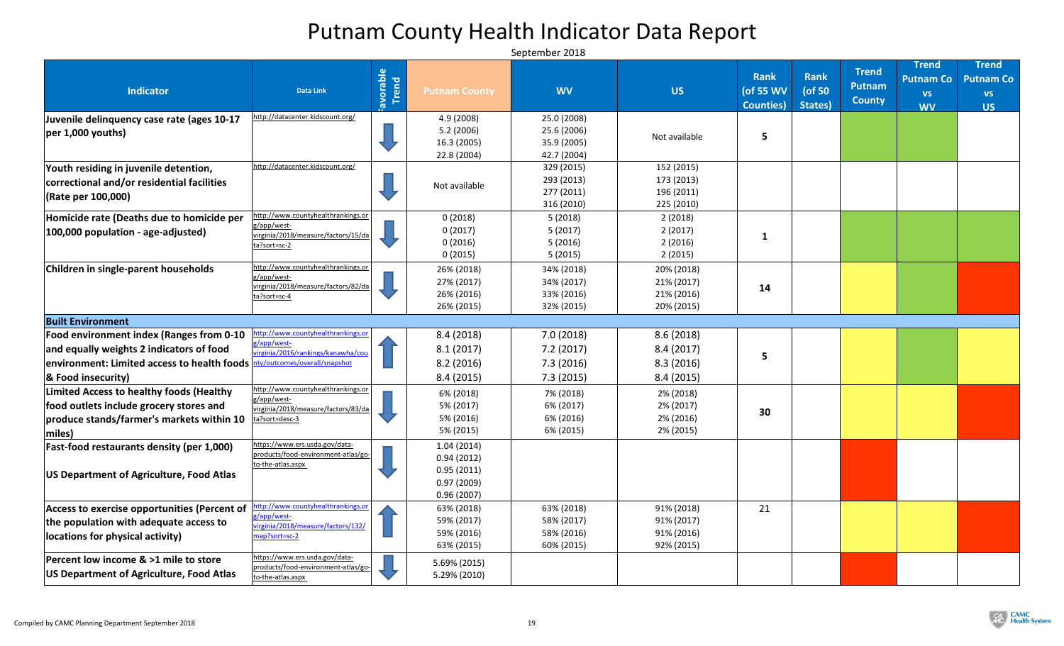| <b>Indicator</b>                                                                                                                                                                                   | <b>Data Link</b>                                                                                           | Favorable | <b>Putnam County</b>                                               | <b>WV</b>                                                | <b>US</b>                                            | <b>Rank</b><br>(of 55 WV<br><b>Counties</b> ) | <b>Rank</b><br>( $of 50$<br>States) | <b>Trend</b><br><b>Putnam</b><br><b>County</b> | <b>Trend</b><br><b>Putnam Co</b><br><b>VS</b><br><b>WV</b> | <b>Trend</b><br><b>Putnam Co</b><br><b>VS</b><br><b>US</b> |
|----------------------------------------------------------------------------------------------------------------------------------------------------------------------------------------------------|------------------------------------------------------------------------------------------------------------|-----------|--------------------------------------------------------------------|----------------------------------------------------------|------------------------------------------------------|-----------------------------------------------|-------------------------------------|------------------------------------------------|------------------------------------------------------------|------------------------------------------------------------|
| Juvenile delinquency case rate (ages 10-17<br>$ per 1,000$ youths)                                                                                                                                 | http://datacenter.kidscount.org/                                                                           |           | 4.9 (2008)<br>5.2(2006)<br>16.3 (2005)<br>22.8 (2004)              | 25.0 (2008)<br>25.6 (2006)<br>35.9 (2005)<br>42.7 (2004) | Not available                                        | 5                                             |                                     |                                                |                                                            |                                                            |
| Youth residing in juvenile detention,<br>correctional and/or residential facilities<br>(Rate per 100,000)                                                                                          | http://datacenter.kidscount.org/                                                                           |           | Not available                                                      | 329 (2015)<br>293 (2013)<br>277 (2011)<br>316 (2010)     | 152 (2015)<br>173 (2013)<br>196 (2011)<br>225 (2010) |                                               |                                     |                                                |                                                            |                                                            |
| Homicide rate (Deaths due to homicide per<br>100,000 population - age-adjusted)                                                                                                                    | http://www.countyhealthrankings.or<br>g/app/west-<br>virginia/2018/measure/factors/15/da<br>ta?sort=sc-2   |           | 0(2018)<br>0(2017)<br>0(2016)<br>0(2015)                           | 5(2018)<br>5(2017)<br>5(2016)<br>5(2015)                 | 2(2018)<br>2(2017)<br>2(2016)<br>2(2015)             |                                               |                                     |                                                |                                                            |                                                            |
| Children in single-parent households                                                                                                                                                               | http://www.countyhealthrankings.or<br>g/app/west-<br>virginia/2018/measure/factors/82/da<br>ta?sort=sc-4   |           | 26% (2018)<br>27% (2017)<br>26% (2016)<br>26% (2015)               | 34% (2018)<br>34% (2017)<br>33% (2016)<br>32% (2015)     | 20% (2018)<br>21% (2017)<br>21% (2016)<br>20% (2015) | 14                                            |                                     |                                                |                                                            |                                                            |
| <b>Built Environment</b>                                                                                                                                                                           |                                                                                                            |           |                                                                    |                                                          |                                                      |                                               |                                     |                                                |                                                            |                                                            |
| Food environment index (Ranges from 0-10<br>and equally weights 2 indicators of food<br>environment: Limited access to health foods hty/outcomes/overall/snapshot<br><b>&amp; Food insecurity)</b> | http://www.countyhealthrankings.or<br>g/app/west-<br>virginia/2016/rankings/kanawha/cou                    |           | 8.4(2018)<br>8.1(2017)<br>8.2(2016)<br>8.4(2015)                   | 7.0(2018)<br>7.2(2017)<br>7.3(2016)<br>7.3(2015)         | 8.6(2018)<br>8.4(2017)<br>8.3(2016)<br>8.4(2015)     | 5                                             |                                     |                                                |                                                            |                                                            |
| <b>Limited Access to healthy foods (Healthy</b><br>food outlets include grocery stores and<br>produce stands/farmer's markets within 10<br>$\vert$ miles)                                          | http://www.countyhealthrankings.or<br>g/app/west-<br>virginia/2018/measure/factors/83/da<br>ta?sort=desc-3 |           | 6% (2018)<br>5% (2017)<br>5% (2016)<br>5% (2015)                   | 7% (2018)<br>6% (2017)<br>6% (2016)<br>6% (2015)         | 2% (2018)<br>2% (2017)<br>2% (2016)<br>2% (2015)     | 30                                            |                                     |                                                |                                                            |                                                            |
| Fast-food restaurants density (per 1,000)<br>US Department of Agriculture, Food Atlas                                                                                                              | https://www.ers.usda.gov/data-<br>products/food-environment-atlas/go-<br>to-the-atlas.aspx                 |           | 1.04(2014)<br>0.94(2012)<br>0.95(2011)<br>0.97(2009)<br>0.96(2007) |                                                          |                                                      |                                               |                                     |                                                |                                                            |                                                            |
| Access to exercise opportunities (Percent of<br>the population with adequate access to<br>locations for physical activity)                                                                         | http://www.countyhealthrankings.or<br>g/app/west-<br>virginia/2018/measure/factors/132/<br>map?sort=sc-2   |           | 63% (2018)<br>59% (2017)<br>59% (2016)<br>63% (2015)               | 63% (2018)<br>58% (2017)<br>58% (2016)<br>60% (2015)     | 91% (2018)<br>91% (2017)<br>91% (2016)<br>92% (2015) | 21                                            |                                     |                                                |                                                            |                                                            |
| Percent low income & >1 mile to store<br>US Department of Agriculture, Food Atlas                                                                                                                  | https://www.ers.usda.gov/data-<br>products/food-environment-atlas/go-<br>to-the-atlas.aspx                 |           | 5.69% (2015)<br>5.29% (2010)                                       |                                                          |                                                      |                                               |                                     |                                                |                                                            |                                                            |

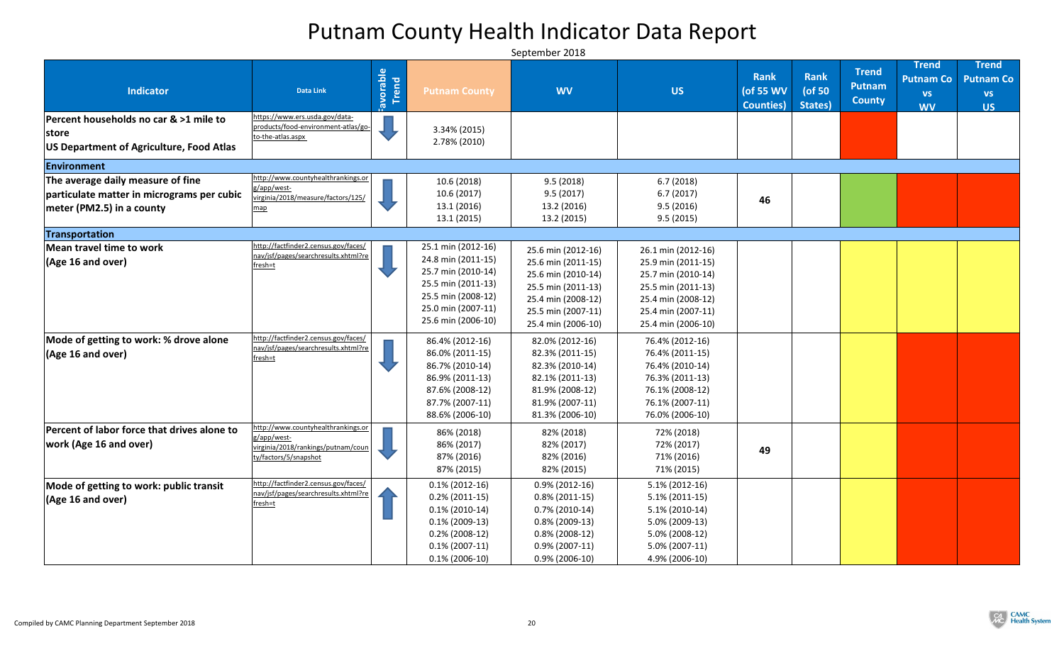| <b>Indicator</b>                                                                                                 | <b>Data Link</b>                                                                                                                | Favorable | <b>Putnam County</b>                                                                                                                                                      | <b>WV</b>                                                                                                                                                                 | <b>US</b>                                                                                                                                                                 | <b>Rank</b><br>(of 55 WV<br><b>Counties</b> ) | Rank<br>(of 50<br>States) | <b>Trend</b><br><b>Putnam</b><br><b>County</b> | <b>Trend</b><br><b>Putnam Co</b><br><b>VS</b><br><b>WV</b> | <b>Trend</b><br><b>Putnam Co</b><br><b>VS</b><br><b>US</b> |
|------------------------------------------------------------------------------------------------------------------|---------------------------------------------------------------------------------------------------------------------------------|-----------|---------------------------------------------------------------------------------------------------------------------------------------------------------------------------|---------------------------------------------------------------------------------------------------------------------------------------------------------------------------|---------------------------------------------------------------------------------------------------------------------------------------------------------------------------|-----------------------------------------------|---------------------------|------------------------------------------------|------------------------------------------------------------|------------------------------------------------------------|
| Percent households no car & >1 mile to<br>store<br>US Department of Agriculture, Food Atlas                      | https://www.ers.usda.gov/data-<br>products/food-environment-atlas/go-<br>to-the-atlas.aspx                                      |           | 3.34% (2015)<br>2.78% (2010)                                                                                                                                              |                                                                                                                                                                           |                                                                                                                                                                           |                                               |                           |                                                |                                                            |                                                            |
| Environment                                                                                                      |                                                                                                                                 |           |                                                                                                                                                                           |                                                                                                                                                                           |                                                                                                                                                                           |                                               |                           |                                                |                                                            |                                                            |
| The average daily measure of fine<br>particulate matter in micrograms per cubic<br>$ $ meter (PM2.5) in a county | http://www.countyhealthrankings.or<br>g/app/west-<br>virginia/2018/measure/factors/125/<br>map                                  |           | 10.6(2018)<br>10.6(2017)<br>13.1 (2016)<br>13.1(2015)                                                                                                                     | 9.5(2018)<br>9.5(2017)<br>13.2 (2016)<br>13.2 (2015)                                                                                                                      | 6.7(2018)<br>6.7(2017)<br>9.5(2016)<br>9.5(2015)                                                                                                                          | 46                                            |                           |                                                |                                                            |                                                            |
| Transportation                                                                                                   |                                                                                                                                 |           |                                                                                                                                                                           |                                                                                                                                                                           |                                                                                                                                                                           |                                               |                           |                                                |                                                            |                                                            |
| Mean travel time to work<br>$\vert$ (Age 16 and over)<br>Mode of getting to work: % drove alone                  | http://factfinder2.census.gov/faces/<br>nav/jsf/pages/searchresults.xhtml?re<br>fresh=t<br>http://factfinder2.census.gov/faces/ |           | 25.1 min (2012-16)<br>24.8 min (2011-15)<br>25.7 min (2010-14)<br>25.5 min (2011-13)<br>25.5 min (2008-12)<br>25.0 min (2007-11)<br>25.6 min (2006-10)<br>86.4% (2012-16) | 25.6 min (2012-16)<br>25.6 min (2011-15)<br>25.6 min (2010-14)<br>25.5 min (2011-13)<br>25.4 min (2008-12)<br>25.5 min (2007-11)<br>25.4 min (2006-10)<br>82.0% (2012-16) | 26.1 min (2012-16)<br>25.9 min (2011-15)<br>25.7 min (2010-14)<br>25.5 min (2011-13)<br>25.4 min (2008-12)<br>25.4 min (2007-11)<br>25.4 min (2006-10)<br>76.4% (2012-16) |                                               |                           |                                                |                                                            |                                                            |
| $(Age 16$ and over)                                                                                              | nav/jsf/pages/searchresults.xhtml?re<br>fresh=t                                                                                 |           | 86.0% (2011-15)<br>86.7% (2010-14)<br>86.9% (2011-13)<br>87.6% (2008-12)<br>87.7% (2007-11)<br>88.6% (2006-10)                                                            | 82.3% (2011-15)<br>82.3% (2010-14)<br>82.1% (2011-13)<br>81.9% (2008-12)<br>81.9% (2007-11)<br>81.3% (2006-10)                                                            | 76.4% (2011-15)<br>76.4% (2010-14)<br>76.3% (2011-13)<br>76.1% (2008-12)<br>76.1% (2007-11)<br>76.0% (2006-10)                                                            |                                               |                           |                                                |                                                            |                                                            |
| Percent of labor force that drives alone to<br>work (Age 16 and over)                                            | http://www.countyhealthrankings.or<br>g/app/west-<br>virginia/2018/rankings/putnam/coun<br>ty/factors/5/snapshot                |           | 86% (2018)<br>86% (2017)<br>87% (2016)<br>87% (2015)                                                                                                                      | 82% (2018)<br>82% (2017)<br>82% (2016)<br>82% (2015)                                                                                                                      | 72% (2018)<br>72% (2017)<br>71% (2016)<br>71% (2015)                                                                                                                      | 49                                            |                           |                                                |                                                            |                                                            |
| Mode of getting to work: public transit<br>$(Age 16$ and over)                                                   | http://factfinder2.census.gov/faces/<br>nav/jsf/pages/searchresults.xhtml?re<br>fresh=t                                         |           | $0.1\%$ (2012-16)<br>$0.2\%$ (2011-15)<br>$0.1\%$ (2010-14)<br>$0.1\%$ (2009-13)<br>$0.2\%$ (2008-12)<br>$0.1\%$ (2007-11)<br>$0.1\%$ (2006-10)                           | $0.9\%$ (2012-16)<br>$0.8\%$ (2011-15)<br>$0.7\%$ (2010-14)<br>$0.8\%$ (2009-13)<br>$0.8\%$ (2008-12)<br>$0.9\%$ (2007-11)<br>$0.9\%$ (2006-10)                           | $5.1\% (2012-16)$<br>$5.1\% (2011-15)$<br>$5.1\% (2010-14)$<br>$5.0\%$ (2009-13)<br>$5.0\%$ (2008-12)<br>$5.0\%$ (2007-11)<br>4.9% (2006-10)                              |                                               |                           |                                                |                                                            |                                                            |

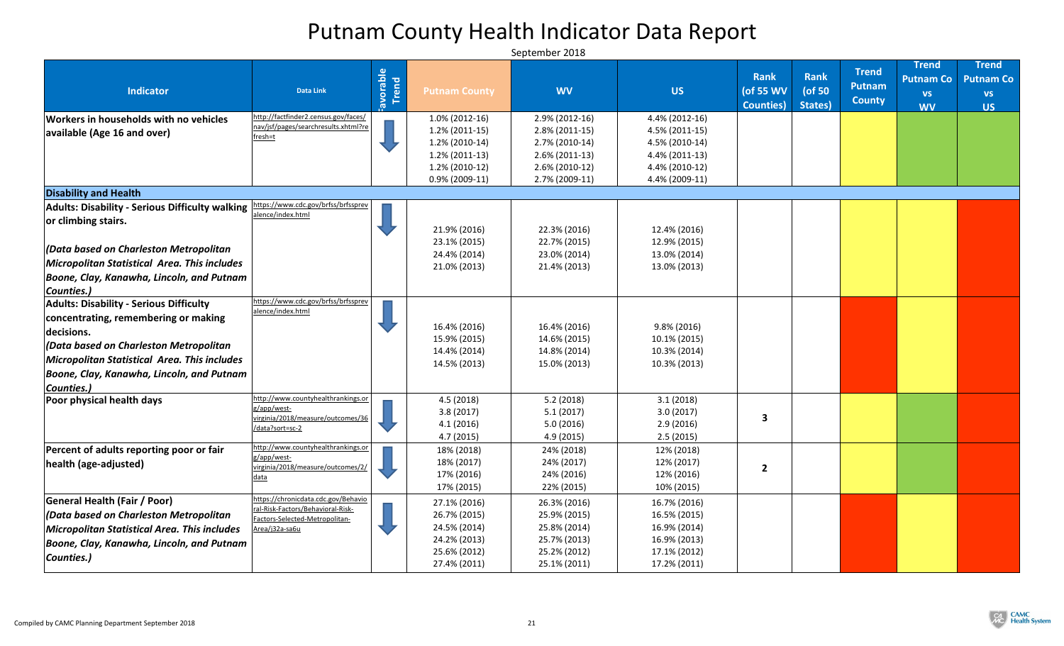|                                                                                     |                                                                     | iavorable |                              |                              |                              | <b>Rank</b>                    | <b>Rank</b>          | <b>Trend</b><br><b>Putnam</b> | <b>Trend</b><br><b>Putnam Co</b> | <b>Trend</b><br><b>Putnam Co</b> |
|-------------------------------------------------------------------------------------|---------------------------------------------------------------------|-----------|------------------------------|------------------------------|------------------------------|--------------------------------|----------------------|-------------------------------|----------------------------------|----------------------------------|
| <b>Indicator</b>                                                                    | <b>Data Link</b>                                                    |           | <b>Putnam County</b>         | <b>WV</b>                    | <b>US</b>                    | (of 55 WV<br><b>Counties</b> ) | ( $of 50$<br>States) | <b>County</b>                 | <b>VS</b><br><b>WV</b>           | <b>VS</b><br><b>US</b>           |
| Workers in households with no vehicles                                              | http://factfinder2.census.gov/faces/                                |           | $1.0\%$ (2012-16)            | $2.9\%$ (2012-16)            | $4.4\%$ (2012-16)            |                                |                      |                               |                                  |                                  |
| available (Age 16 and over)                                                         | nav/jsf/pages/searchresults.xhtml?re<br>fresh=t                     |           | $1.2\%$ (2011-15)            | $2.8\%$ (2011-15)            | $4.5\%$ (2011-15)            |                                |                      |                               |                                  |                                  |
|                                                                                     |                                                                     |           | $1.2\%$ (2010-14)            | $2.7\%$ (2010-14)            | 4.5% (2010-14)               |                                |                      |                               |                                  |                                  |
|                                                                                     |                                                                     |           | $1.2\%$ (2011-13)            | $2.6\% (2011-13)$            | 4.4% (2011-13)               |                                |                      |                               |                                  |                                  |
|                                                                                     |                                                                     |           | $1.2\%$ (2010-12)            | $2.6\% (2010-12)$            | 4.4% (2010-12)               |                                |                      |                               |                                  |                                  |
|                                                                                     |                                                                     |           | $0.9\%$ (2009-11)            | 2.7% (2009-11)               | 4.4% (2009-11)               |                                |                      |                               |                                  |                                  |
| <b>Disability and Health</b>                                                        |                                                                     |           |                              |                              |                              |                                |                      |                               |                                  |                                  |
| Adults: Disability - Serious Difficulty walking https://www.cdc.gov/brfss/brfssprev | alence/index.html                                                   |           |                              |                              |                              |                                |                      |                               |                                  |                                  |
| or climbing stairs.                                                                 |                                                                     |           |                              |                              |                              |                                |                      |                               |                                  |                                  |
|                                                                                     |                                                                     |           | 21.9% (2016)                 | 22.3% (2016)                 | 12.4% (2016)                 |                                |                      |                               |                                  |                                  |
| (Data based on Charleston Metropolitan                                              |                                                                     |           | 23.1% (2015)                 | 22.7% (2015)                 | 12.9% (2015)                 |                                |                      |                               |                                  |                                  |
| Micropolitan Statistical Area. This includes                                        |                                                                     |           | 24.4% (2014)<br>21.0% (2013) | 23.0% (2014)<br>21.4% (2013) | 13.0% (2014)<br>13.0% (2013) |                                |                      |                               |                                  |                                  |
| Boone, Clay, Kanawha, Lincoln, and Putnam                                           |                                                                     |           |                              |                              |                              |                                |                      |                               |                                  |                                  |
| Counties.)                                                                          |                                                                     |           |                              |                              |                              |                                |                      |                               |                                  |                                  |
| <b>Adults: Disability - Serious Difficulty</b>                                      | https://www.cdc.gov/brfss/brfssprev                                 |           |                              |                              |                              |                                |                      |                               |                                  |                                  |
| concentrating, remembering or making                                                | alence/index.html                                                   |           |                              |                              |                              |                                |                      |                               |                                  |                                  |
| decisions.                                                                          |                                                                     |           | 16.4% (2016)                 | 16.4% (2016)                 | $9.8\%$ (2016)               |                                |                      |                               |                                  |                                  |
| <i>(Data based on Charleston Metropolitan</i> )                                     |                                                                     |           | 15.9% (2015)                 | 14.6% (2015)                 | 10.1% (2015)                 |                                |                      |                               |                                  |                                  |
| Micropolitan Statistical Area. This includes                                        |                                                                     |           | 14.4% (2014)                 | 14.8% (2014)                 | 10.3% (2014)                 |                                |                      |                               |                                  |                                  |
|                                                                                     |                                                                     |           | 14.5% (2013)                 | 15.0% (2013)                 | 10.3% (2013)                 |                                |                      |                               |                                  |                                  |
| Boone, Clay, Kanawha, Lincoln, and Putnam                                           |                                                                     |           |                              |                              |                              |                                |                      |                               |                                  |                                  |
| <b>Counties.)</b><br><b>Poor physical health days</b>                               | http://www.countyhealthrankings.or                                  |           | 4.5(2018)                    | 5.2(2018)                    | 3.1(2018)                    |                                |                      |                               |                                  |                                  |
|                                                                                     | g/app/west-                                                         |           | 3.8(2017)                    | 5.1(2017)                    | 3.0(2017)                    |                                |                      |                               |                                  |                                  |
|                                                                                     | virginia/2018/measure/outcomes/36                                   |           | 4.1(2016)                    | 5.0(2016)                    | 2.9(2016)                    | З                              |                      |                               |                                  |                                  |
|                                                                                     | /data?sort=sc-2                                                     |           | 4.7(2015)                    | 4.9(2015)                    | 2.5(2015)                    |                                |                      |                               |                                  |                                  |
| Percent of adults reporting poor or fair                                            | http://www.countyhealthrankings.or                                  |           | 18% (2018)                   | 24% (2018)                   | 12% (2018)                   |                                |                      |                               |                                  |                                  |
| health (age-adjusted)                                                               | g/app/west-                                                         |           | 18% (2017)                   | 24% (2017)                   | 12% (2017)                   |                                |                      |                               |                                  |                                  |
|                                                                                     | virginia/2018/measure/outcomes/2/<br>data                           |           | 17% (2016)                   | 24% (2016)                   | 12% (2016)                   |                                |                      |                               |                                  |                                  |
|                                                                                     |                                                                     |           | 17% (2015)                   | 22% (2015)                   | 10% (2015)                   |                                |                      |                               |                                  |                                  |
| <b>General Health (Fair / Poor)</b>                                                 | https://chronicdata.cdc.gov/Behavio                                 |           | 27.1% (2016)                 | 26.3% (2016)                 | 16.7% (2016)                 |                                |                      |                               |                                  |                                  |
| $ $ (Data based on Charleston Metropolitan                                          | ral-Risk-Factors/Behavioral-Risk-<br>Factors-Selected-Metropolitan- |           | 26.7% (2015)                 | 25.9% (2015)                 | 16.5% (2015)                 |                                |                      |                               |                                  |                                  |
| <b>Micropolitan Statistical Area. This includes</b>                                 | Area/j32a-sa6u                                                      |           | 24.5% (2014)                 | 25.8% (2014)                 | 16.9% (2014)                 |                                |                      |                               |                                  |                                  |
| Boone, Clay, Kanawha, Lincoln, and Putnam                                           |                                                                     |           | 24.2% (2013)                 | 25.7% (2013)                 | 16.9% (2013)                 |                                |                      |                               |                                  |                                  |
| Counties.)                                                                          |                                                                     |           | 25.6% (2012)                 | 25.2% (2012)                 | 17.1% (2012)                 |                                |                      |                               |                                  |                                  |
|                                                                                     |                                                                     |           | 27.4% (2011)                 | 25.1% (2011)                 | 17.2% (2011)                 |                                |                      |                               |                                  |                                  |